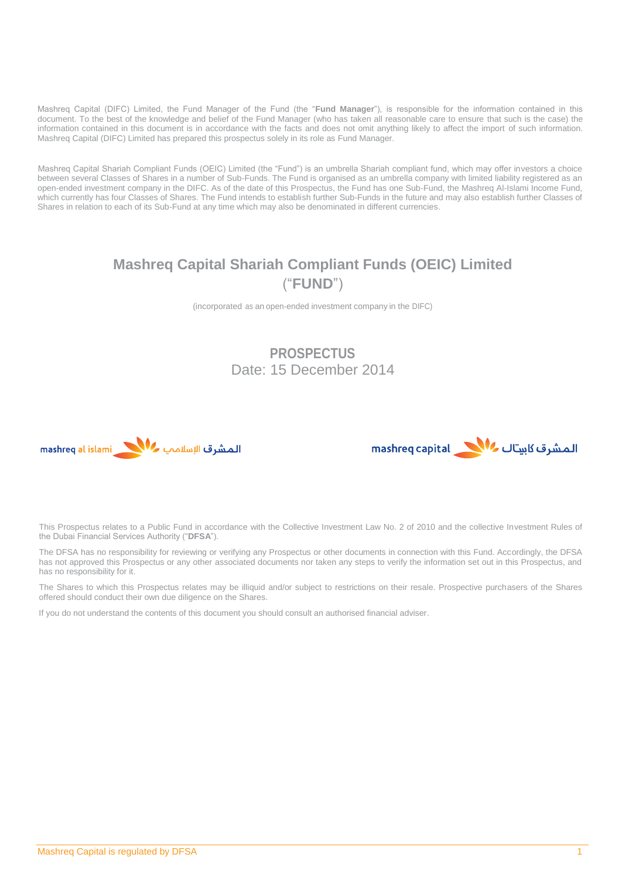Mashreq Capital (DIFC) Limited, the Fund Manager of the Fund (the "**Fund Manager**"), is responsible for the information contained in this document. To the best of the knowledge and belief of the Fund Manager (who has taken all reasonable care to ensure that such is the case) the information contained in this document is in accordance with the facts and does not omit anything likely to affect the import of such information. Mashreq Capital (DIFC) Limited has prepared this prospectus solely in its role as Fund Manager.

Mashreq Capital Shariah Compliant Funds (OEIC) Limited (the "Fund") is an umbrella Shariah compliant fund, which may offer investors a choice between several Classes of Shares in a number of Sub-Funds. The Fund is organised as an umbrella company with limited liability registered as an open-ended investment company in the DIFC. As of the date of this Prospectus, the Fund has one Sub-Fund, the Mashreq Al-Islami Income Fund, which currently has four Classes of Shares. The Fund intends to establish further Sub-Funds in the future and may also establish further Classes of Shares in relation to each of its Sub-Fund at any time which may also be denominated in different currencies.

# **Mashreq Capital Shariah Compliant Funds (OEIC) Limited** ("**FUND**")

(incorporated as an open-ended investment company in the DIFC)

## **PROSPECTUS** Date: 15 December 2014





This Prospectus relates to a Public Fund in accordance with the Collective Investment Law No. 2 of 2010 and the collective Investment Rules of the Dubai Financial Services Authority ("**DFSA**").

The DFSA has no responsibility for reviewing or verifying any Prospectus or other documents in connection with this Fund. Accordingly, the DFSA has not approved this Prospectus or any other associated documents nor taken any steps to verify the information set out in this Prospectus, and has no responsibility for it.

The Shares to which this Prospectus relates may be illiquid and/or subject to restrictions on their resale. Prospective purchasers of the Shares offered should conduct their own due diligence on the Shares.

If you do not understand the contents of this document you should consult an authorised financial adviser.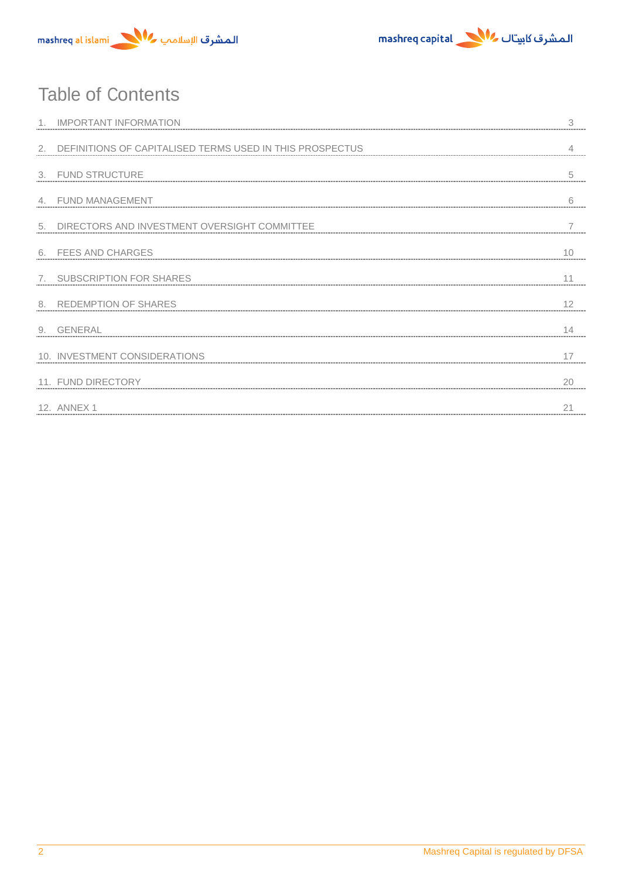



# Table of Contents

|    | <b>IMPORTANT INFORMATION</b>                                |    |
|----|-------------------------------------------------------------|----|
|    | 2. DEFINITIONS OF CAPITALISED TERMS USED IN THIS PROSPECTUS |    |
|    | 3. FUND STRUCTURE                                           | 5  |
|    | 4. FUND MANAGEMENT                                          | 6  |
| 5. | DIRECTORS AND INVESTMENT OVERSIGHT COMMITTEE                |    |
|    | 6. FEES AND CHARGES                                         | 10 |
|    | 7. SUBSCRIPTION FOR SHARES                                  |    |
|    | 8. REDEMPTION OF SHARES                                     | 12 |
|    | 9. GENERAL                                                  |    |
|    | 10. INVESTMENT CONSIDERATIONS                               |    |
|    | 11. FUND DIRECTORY                                          | 20 |
|    | 12. ANNEX 1                                                 |    |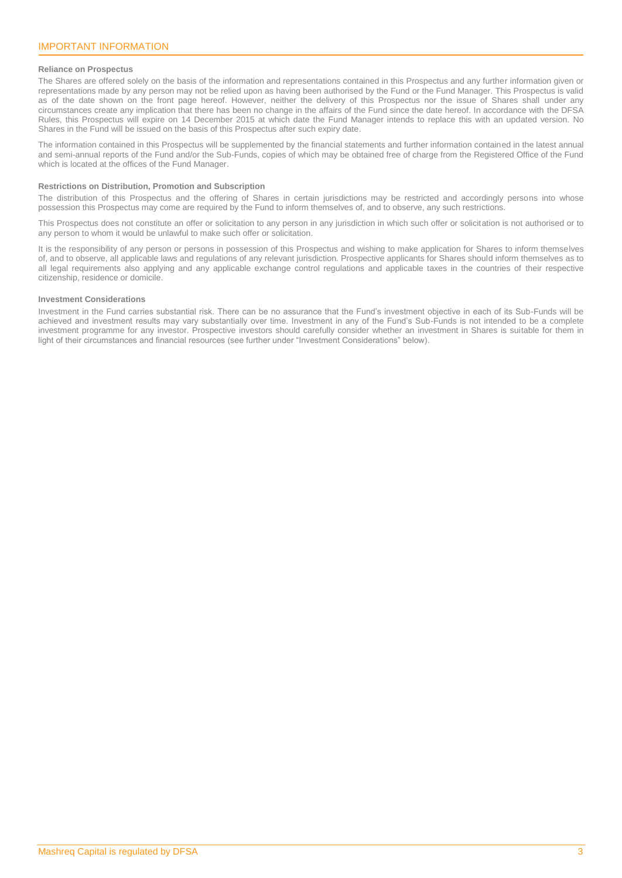## <span id="page-2-0"></span>**Reliance on Prospectus**

The Shares are offered solely on the basis of the information and representations contained in this Prospectus and any further information given or representations made by any person may not be relied upon as having been authorised by the Fund or the Fund Manager. This Prospectus is valid as of the date shown on the front page hereof. However, neither the delivery of this Prospectus nor the issue of Shares shall under any circumstances create any implication that there has been no change in the affairs of the Fund since the date hereof. In accordance with the DFSA Rules, this Prospectus will expire on 14 December 2015 at which date the Fund Manager intends to replace this with an updated version. No Shares in the Fund will be issued on the basis of this Prospectus after such expiry date.

The information contained in this Prospectus will be supplemented by the financial statements and further information contained in the latest annual and semi-annual reports of the Fund and/or the Sub-Funds, copies of which may be obtained free of charge from the Registered Office of the Fund which is located at the offices of the Fund Manager.

## **Restrictions on Distribution, Promotion and Subscription**

The distribution of this Prospectus and the offering of Shares in certain jurisdictions may be restricted and accordingly persons into whose possession this Prospectus may come are required by the Fund to inform themselves of, and to observe, any such restrictions.

This Prospectus does not constitute an offer or solicitation to any person in any jurisdiction in which such offer or solicitation is not authorised or to any person to whom it would be unlawful to make such offer or solicitation.

It is the responsibility of any person or persons in possession of this Prospectus and wishing to make application for Shares to inform themselves of, and to observe, all applicable laws and regulations of any relevant jurisdiction. Prospective applicants for Shares should inform themselves as to all legal requirements also applying and any applicable exchange control regulations and applicable taxes in the countries of their respective citizenship, residence or domicile.

## **Investment Considerations**

Investment in the Fund carries substantial risk. There can be no assurance that the Fund's investment objective in each of its Sub-Funds will be achieved and investment results may vary substantially over time. Investment in any of the Fund's Sub-Funds is not intended to be a complete investment programme for any investor. Prospective investors should carefully consider whether an investment in Shares is suitable for them in light of their circumstances and financial resources (see further under "Investment Considerations" below).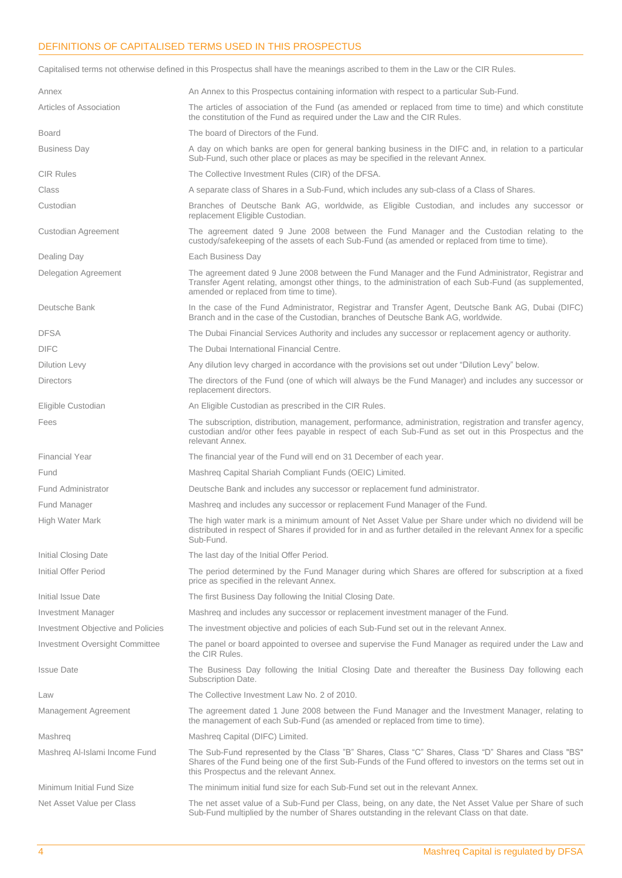## <span id="page-3-0"></span>DEFINITIONS OF CAPITALISED TERMS USED IN THIS PROSPECTUS

Capitalised terms not otherwise defined in this Prospectus shall have the meanings ascribed to them in the Law or the CIR Rules.

| Annex                             | An Annex to this Prospectus containing information with respect to a particular Sub-Fund.                                                                                                                                                                      |
|-----------------------------------|----------------------------------------------------------------------------------------------------------------------------------------------------------------------------------------------------------------------------------------------------------------|
|                                   |                                                                                                                                                                                                                                                                |
| Articles of Association           | The articles of association of the Fund (as amended or replaced from time to time) and which constitute<br>the constitution of the Fund as required under the Law and the CIR Rules.                                                                           |
| <b>Board</b>                      | The board of Directors of the Fund.                                                                                                                                                                                                                            |
| <b>Business Day</b>               | A day on which banks are open for general banking business in the DIFC and, in relation to a particular<br>Sub-Fund, such other place or places as may be specified in the relevant Annex.                                                                     |
| <b>CIR Rules</b>                  | The Collective Investment Rules (CIR) of the DFSA.                                                                                                                                                                                                             |
| Class                             | A separate class of Shares in a Sub-Fund, which includes any sub-class of a Class of Shares.                                                                                                                                                                   |
| Custodian                         | Branches of Deutsche Bank AG, worldwide, as Eligible Custodian, and includes any successor or<br>replacement Eligible Custodian.                                                                                                                               |
| Custodian Agreement               | The agreement dated 9 June 2008 between the Fund Manager and the Custodian relating to the<br>custody/safekeeping of the assets of each Sub-Fund (as amended or replaced from time to time).                                                                   |
| Dealing Day                       | Each Business Day                                                                                                                                                                                                                                              |
| Delegation Agreement              | The agreement dated 9 June 2008 between the Fund Manager and the Fund Administrator, Registrar and<br>Transfer Agent relating, amongst other things, to the administration of each Sub-Fund (as supplemented,<br>amended or replaced from time to time).       |
| Deutsche Bank                     | In the case of the Fund Administrator, Registrar and Transfer Agent, Deutsche Bank AG, Dubai (DIFC)<br>Branch and in the case of the Custodian, branches of Deutsche Bank AG, worldwide.                                                                       |
| <b>DFSA</b>                       | The Dubai Financial Services Authority and includes any successor or replacement agency or authority.                                                                                                                                                          |
| <b>DIFC</b>                       | The Dubai International Financial Centre.                                                                                                                                                                                                                      |
| <b>Dilution Levy</b>              | Any dilution levy charged in accordance with the provisions set out under "Dilution Levy" below.                                                                                                                                                               |
| <b>Directors</b>                  | The directors of the Fund (one of which will always be the Fund Manager) and includes any successor or<br>replacement directors.                                                                                                                               |
| Eligible Custodian                | An Eligible Custodian as prescribed in the CIR Rules.                                                                                                                                                                                                          |
| Fees                              | The subscription, distribution, management, performance, administration, registration and transfer agency,<br>custodian and/or other fees payable in respect of each Sub-Fund as set out in this Prospectus and the<br>relevant Annex.                         |
| <b>Financial Year</b>             | The financial year of the Fund will end on 31 December of each year.                                                                                                                                                                                           |
| Fund                              | Mashreg Capital Shariah Compliant Funds (OEIC) Limited.                                                                                                                                                                                                        |
| <b>Fund Administrator</b>         | Deutsche Bank and includes any successor or replacement fund administrator.                                                                                                                                                                                    |
| Fund Manager                      | Mashreg and includes any successor or replacement Fund Manager of the Fund.                                                                                                                                                                                    |
| High Water Mark                   | The high water mark is a minimum amount of Net Asset Value per Share under which no dividend will be<br>distributed in respect of Shares if provided for in and as further detailed in the relevant Annex for a specific<br>Sub-Fund.                          |
| Initial Closing Date              | The last day of the Initial Offer Period.                                                                                                                                                                                                                      |
| Initial Offer Period              | The period determined by the Fund Manager during which Shares are offered for subscription at a fixed<br>price as specified in the relevant Annex.                                                                                                             |
| Initial Issue Date                | The first Business Day following the Initial Closing Date.                                                                                                                                                                                                     |
| <b>Investment Manager</b>         | Mashreg and includes any successor or replacement investment manager of the Fund.                                                                                                                                                                              |
| Investment Objective and Policies | The investment objective and policies of each Sub-Fund set out in the relevant Annex.                                                                                                                                                                          |
| Investment Oversight Committee    | The panel or board appointed to oversee and supervise the Fund Manager as required under the Law and<br>the CIR Rules.                                                                                                                                         |
| <b>Issue Date</b>                 | The Business Day following the Initial Closing Date and thereafter the Business Day following each<br>Subscription Date.                                                                                                                                       |
| Law                               | The Collective Investment Law No. 2 of 2010.                                                                                                                                                                                                                   |
| Management Agreement              | The agreement dated 1 June 2008 between the Fund Manager and the Investment Manager, relating to<br>the management of each Sub-Fund (as amended or replaced from time to time).                                                                                |
| Mashreg                           | Mashreq Capital (DIFC) Limited.                                                                                                                                                                                                                                |
| Mashreg Al-Islami Income Fund     | The Sub-Fund represented by the Class "B" Shares, Class "C" Shares, Class "D" Shares and Class "BS"<br>Shares of the Fund being one of the first Sub-Funds of the Fund offered to investors on the terms set out in<br>this Prospectus and the relevant Annex. |
| Minimum Initial Fund Size         | The minimum initial fund size for each Sub-Fund set out in the relevant Annex.                                                                                                                                                                                 |
| Net Asset Value per Class         | The net asset value of a Sub-Fund per Class, being, on any date, the Net Asset Value per Share of such<br>Sub-Fund multiplied by the number of Shares outstanding in the relevant Class on that date.                                                          |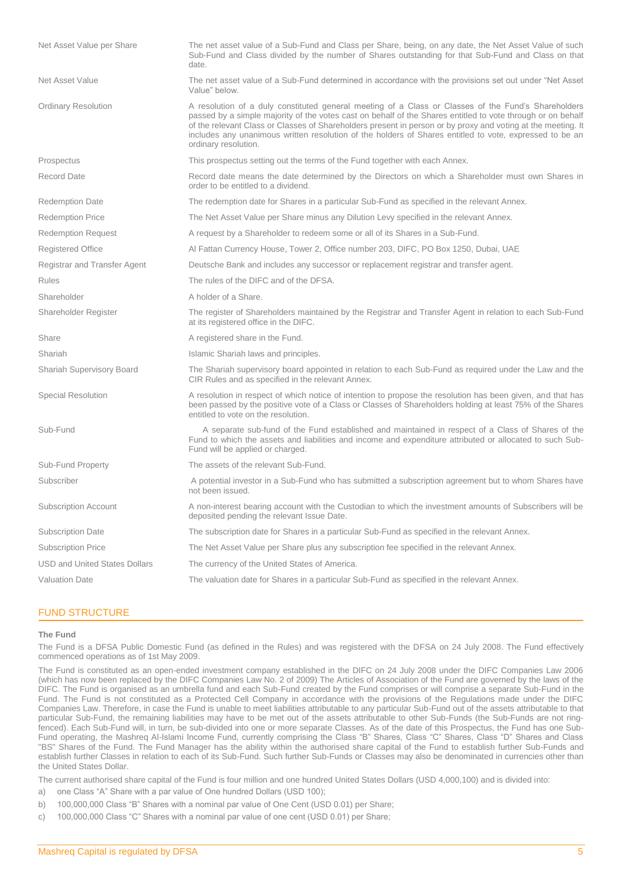| Net Asset Value per Share            | The net asset value of a Sub-Fund and Class per Share, being, on any date, the Net Asset Value of such<br>Sub-Fund and Class divided by the number of Shares outstanding for that Sub-Fund and Class on that<br>date.                                                                                                                                                                                                                                                 |
|--------------------------------------|-----------------------------------------------------------------------------------------------------------------------------------------------------------------------------------------------------------------------------------------------------------------------------------------------------------------------------------------------------------------------------------------------------------------------------------------------------------------------|
| <b>Net Asset Value</b>               | The net asset value of a Sub-Fund determined in accordance with the provisions set out under "Net Asset<br>Value" below.                                                                                                                                                                                                                                                                                                                                              |
| <b>Ordinary Resolution</b>           | A resolution of a duly constituted general meeting of a Class or Classes of the Fund's Shareholders<br>passed by a simple majority of the votes cast on behalf of the Shares entitled to vote through or on behalf<br>of the relevant Class or Classes of Shareholders present in person or by proxy and voting at the meeting. It<br>includes any unanimous written resolution of the holders of Shares entitled to vote, expressed to be an<br>ordinary resolution. |
| Prospectus                           | This prospectus setting out the terms of the Fund together with each Annex.                                                                                                                                                                                                                                                                                                                                                                                           |
| Record Date                          | Record date means the date determined by the Directors on which a Shareholder must own Shares in<br>order to be entitled to a dividend.                                                                                                                                                                                                                                                                                                                               |
| <b>Redemption Date</b>               | The redemption date for Shares in a particular Sub-Fund as specified in the relevant Annex.                                                                                                                                                                                                                                                                                                                                                                           |
| <b>Redemption Price</b>              | The Net Asset Value per Share minus any Dilution Levy specified in the relevant Annex.                                                                                                                                                                                                                                                                                                                                                                                |
| <b>Redemption Request</b>            | A request by a Shareholder to redeem some or all of its Shares in a Sub-Fund.                                                                                                                                                                                                                                                                                                                                                                                         |
| <b>Registered Office</b>             | Al Fattan Currency House, Tower 2, Office number 203, DIFC, PO Box 1250, Dubai, UAE                                                                                                                                                                                                                                                                                                                                                                                   |
| Registrar and Transfer Agent         | Deutsche Bank and includes any successor or replacement registrar and transfer agent.                                                                                                                                                                                                                                                                                                                                                                                 |
| <b>Rules</b>                         | The rules of the DIFC and of the DFSA.                                                                                                                                                                                                                                                                                                                                                                                                                                |
| Shareholder                          | A holder of a Share.                                                                                                                                                                                                                                                                                                                                                                                                                                                  |
| Shareholder Register                 | The register of Shareholders maintained by the Registrar and Transfer Agent in relation to each Sub-Fund<br>at its registered office in the DIFC.                                                                                                                                                                                                                                                                                                                     |
| Share                                | A registered share in the Fund.                                                                                                                                                                                                                                                                                                                                                                                                                                       |
| Shariah                              | Islamic Shariah laws and principles.                                                                                                                                                                                                                                                                                                                                                                                                                                  |
| Shariah Supervisory Board            | The Shariah supervisory board appointed in relation to each Sub-Fund as required under the Law and the<br>CIR Rules and as specified in the relevant Annex.                                                                                                                                                                                                                                                                                                           |
| Special Resolution                   | A resolution in respect of which notice of intention to propose the resolution has been given, and that has<br>been passed by the positive vote of a Class or Classes of Shareholders holding at least 75% of the Shares<br>entitled to vote on the resolution.                                                                                                                                                                                                       |
| Sub-Fund                             | A separate sub-fund of the Fund established and maintained in respect of a Class of Shares of the<br>Fund to which the assets and liabilities and income and expenditure attributed or allocated to such Sub-<br>Fund will be applied or charged.                                                                                                                                                                                                                     |
| Sub-Fund Property                    | The assets of the relevant Sub-Fund.                                                                                                                                                                                                                                                                                                                                                                                                                                  |
| Subscriber                           | A potential investor in a Sub-Fund who has submitted a subscription agreement but to whom Shares have<br>not been issued.                                                                                                                                                                                                                                                                                                                                             |
| <b>Subscription Account</b>          | A non-interest bearing account with the Custodian to which the investment amounts of Subscribers will be<br>deposited pending the relevant Issue Date.                                                                                                                                                                                                                                                                                                                |
| <b>Subscription Date</b>             | The subscription date for Shares in a particular Sub-Fund as specified in the relevant Annex.                                                                                                                                                                                                                                                                                                                                                                         |
| <b>Subscription Price</b>            | The Net Asset Value per Share plus any subscription fee specified in the relevant Annex.                                                                                                                                                                                                                                                                                                                                                                              |
| <b>USD and United States Dollars</b> | The currency of the United States of America.                                                                                                                                                                                                                                                                                                                                                                                                                         |
| <b>Valuation Date</b>                | The valuation date for Shares in a particular Sub-Fund as specified in the relevant Annex.                                                                                                                                                                                                                                                                                                                                                                            |
|                                      |                                                                                                                                                                                                                                                                                                                                                                                                                                                                       |

## <span id="page-4-0"></span>FUND STRUCTURE

#### **The Fund**

The Fund is a DFSA Public Domestic Fund (as defined in the Rules) and was registered with the DFSA on 24 July 2008. The Fund effectively commenced operations as of 1st May 2009.

The Fund is constituted as an open-ended investment company established in the DIFC on 24 July 2008 under the DIFC Companies Law 2006 (which has now been replaced by the DIFC Companies Law No. 2 of 2009) The Articles of Association of the Fund are governed by the laws of the DIFC. The Fund is organised as an umbrella fund and each Sub-Fund created by the Fund comprises or will comprise a separate Sub-Fund in the Fund. The Fund is not constituted as a Protected Cell Company in accordance with the provisions of the Regulations made under the DIFC Companies Law. Therefore, in case the Fund is unable to meet liabilities attributable to any particular Sub-Fund out of the assets attributable to that particular Sub-Fund, the remaining liabilities may have to be met out of the assets attributable to other Sub-Funds (the Sub-Funds are not ringfenced). Each Sub-Fund will, in turn, be sub-divided into one or more separate Classes. As of the date of this Prospectus, the Fund has one Sub-Fund operating, the Mashreq Al-Islami Income Fund, currently comprising the Class "B" Shares, Class "C" Shares, Class "D" Shares and Class "BS" Shares of the Fund. The Fund Manager has the ability within the authorised share capital of the Fund to establish further Sub-Funds and establish further Classes in relation to each of its Sub-Fund. Such further Sub-Funds or Classes may also be denominated in currencies other than the United States Dollar.

The current authorised share capital of the Fund is four million and one hundred United States Dollars (USD 4,000,100) and is divided into:

- a) one Class "A" Share with a par value of One hundred Dollars (USD 100);
- b) 100,000,000 Class "B" Shares with a nominal par value of One Cent (USD 0.01) per Share;
- c) 100,000,000 Class "C" Shares with a nominal par value of one cent (USD 0.01) per Share;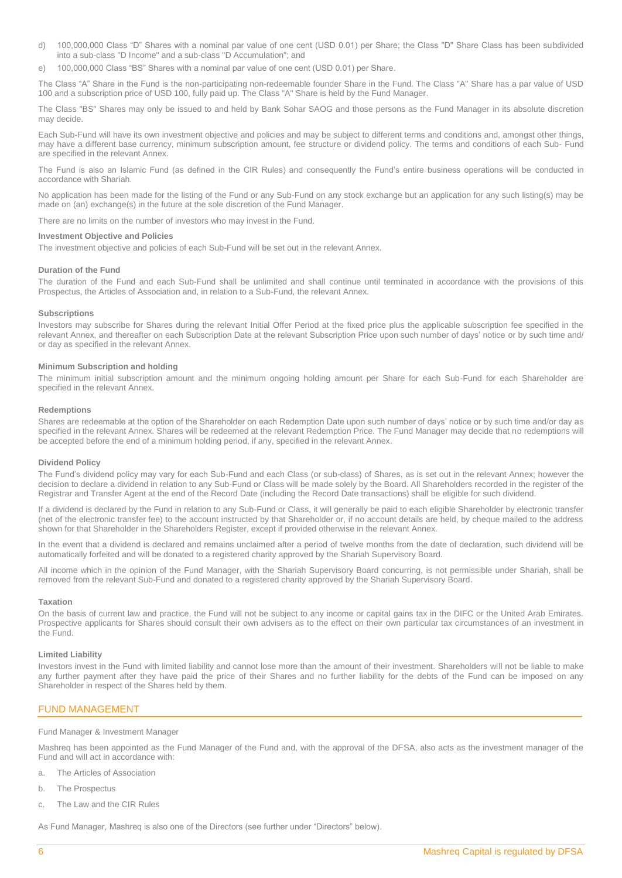- d) 100,000,000 Class "D" Shares with a nominal par value of one cent (USD 0.01) per Share; the Class "D" Share Class has been subdivided into a sub-class "D Income" and a sub-class "D Accumulation"; and
- e) 100,000,000 Class "BS" Shares with a nominal par value of one cent (USD 0.01) per Share.

The Class "A" Share in the Fund is the non-participating non-redeemable founder Share in the Fund. The Class "A" Share has a par value of USD 100 and a subscription price of USD 100, fully paid up. The Class "A" Share is held by the Fund Manager.

The Class "BS" Shares may only be issued to and held by Bank Sohar SAOG and those persons as the Fund Manager in its absolute discretion may decide.

Each Sub-Fund will have its own investment objective and policies and may be subject to different terms and conditions and, amongst other things, may have a different base currency, minimum subscription amount, fee structure or dividend policy. The terms and conditions of each Sub- Fund are specified in the relevant Annex.

The Fund is also an Islamic Fund (as defined in the CIR Rules) and consequently the Fund's entire business operations will be conducted in accordance with Shariah.

No application has been made for the listing of the Fund or any Sub-Fund on any stock exchange but an application for any such listing(s) may be made on (an) exchange(s) in the future at the sole discretion of the Fund Manager.

There are no limits on the number of investors who may invest in the Fund.

## **Investment Objective and Policies**

The investment objective and policies of each Sub-Fund will be set out in the relevant Annex.

## **Duration of the Fund**

The duration of the Fund and each Sub-Fund shall be unlimited and shall continue until terminated in accordance with the provisions of this Prospectus, the Articles of Association and, in relation to a Sub-Fund, the relevant Annex.

## **Subscriptions**

Investors may subscribe for Shares during the relevant Initial Offer Period at the fixed price plus the applicable subscription fee specified in the relevant Annex, and thereafter on each Subscription Date at the relevant Subscription Price upon such number of days' notice or by such time and/ or day as specified in the relevant Annex.

#### **Minimum Subscription and holding**

The minimum initial subscription amount and the minimum ongoing holding amount per Share for each Sub-Fund for each Shareholder are specified in the relevant Annex.

## **Redemptions**

Shares are redeemable at the option of the Shareholder on each Redemption Date upon such number of days' notice or by such time and/or day as specified in the relevant Annex. Shares will be redeemed at the relevant Redemption Price. The Fund Manager may decide that no redemptions will be accepted before the end of a minimum holding period, if any, specified in the relevant Annex.

## **Dividend Policy**

The Fund's dividend policy may vary for each Sub-Fund and each Class (or sub-class) of Shares, as is set out in the relevant Annex; however the decision to declare a dividend in relation to any Sub-Fund or Class will be made solely by the Board. All Shareholders recorded in the register of the Registrar and Transfer Agent at the end of the Record Date (including the Record Date transactions) shall be eligible for such dividend.

If a dividend is declared by the Fund in relation to any Sub-Fund or Class, it will generally be paid to each eligible Shareholder by electronic transfer (net of the electronic transfer fee) to the account instructed by that Shareholder or, if no account details are held, by cheque mailed to the address shown for that Shareholder in the Shareholders Register, except if provided otherwise in the relevant Annex.

In the event that a dividend is declared and remains unclaimed after a period of twelve months from the date of declaration, such dividend will be automatically forfeited and will be donated to a registered charity approved by the Shariah Supervisory Board.

All income which in the opinion of the Fund Manager, with the Shariah Supervisory Board concurring, is not permissible under Shariah, shall be removed from the relevant Sub-Fund and donated to a registered charity approved by the Shariah Supervisory Board.

## **Taxation**

On the basis of current law and practice, the Fund will not be subject to any income or capital gains tax in the DIFC or the United Arab Emirates. Prospective applicants for Shares should consult their own advisers as to the effect on their own particular tax circumstances of an investment in the Fund.

#### **Limited Liability**

Investors invest in the Fund with limited liability and cannot lose more than the amount of their investment. Shareholders will not be liable to make any further payment after they have paid the price of their Shares and no further liability for the debts of the Fund can be imposed on any Shareholder in respect of the Shares held by them.

## <span id="page-5-0"></span>FUND MANAGEMENT

## Fund Manager & Investment Manager

Mashreq has been appointed as the Fund Manager of the Fund and, with the approval of the DFSA, also acts as the investment manager of the Fund and will act in accordance with:

- a. The Articles of Association
- b. The Prospectus
- c. The Law and the CIR Rules

As Fund Manager, Mashreq is also one of the Directors (see further under "Directors" below).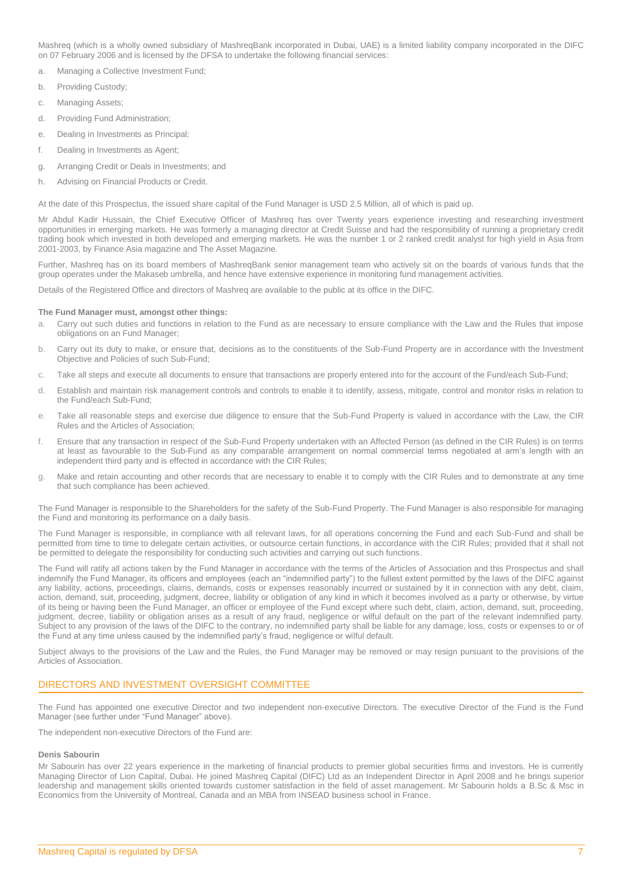Mashreq (which is a wholly owned subsidiary of MashreqBank incorporated in Dubai, UAE) is a limited liability company incorporated in the DIFC on 07 February 2006 and is licensed by the DFSA to undertake the following financial services:

- a. Managing a Collective Investment Fund;
- b. Providing Custody;
- c. Managing Assets;
- d. Providing Fund Administration;
- e. Dealing in Investments as Principal;
- f. Dealing in Investments as Agent;
- g. Arranging Credit or Deals in Investments; and
- h. Advising on Financial Products or Credit.

At the date of this Prospectus, the issued share capital of the Fund Manager is USD 2.5 Million, all of which is paid up.

Mr Abdul Kadir Hussain, the Chief Executive Officer of Mashreq has over Twenty years experience investing and researching investment opportunities in emerging markets. He was formerly a managing director at Credit Suisse and had the responsibility of running a proprietary credit trading book which invested in both developed and emerging markets. He was the number 1 or 2 ranked credit analyst for high yield in Asia from 2001-2003, by Finance Asia magazine and The Asset Magazine.

Further, Mashreq has on its board members of MashreqBank senior management team who actively sit on the boards of various funds that the group operates under the Makaseb umbrella, and hence have extensive experience in monitoring fund management activities.

Details of the Registered Office and directors of Mashreq are available to the public at its office in the DIFC.

## **The Fund Manager must, amongst other things:**

- Carry out such duties and functions in relation to the Fund as are necessary to ensure compliance with the Law and the Rules that impose obligations on an Fund Manager;
- b. Carry out its duty to make, or ensure that, decisions as to the constituents of the Sub-Fund Property are in accordance with the Investment Objective and Policies of such Sub-Fund;
- c. Take all steps and execute all documents to ensure that transactions are properly entered into for the account of the Fund/each Sub-Fund;
- d. Establish and maintain risk management controls and controls to enable it to identify, assess, mitigate, control and monitor risks in relation to the Fund/each Sub-Fund;
- e. Take all reasonable steps and exercise due diligence to ensure that the Sub-Fund Property is valued in accordance with the Law, the CIR Rules and the Articles of Association;
- f. Ensure that any transaction in respect of the Sub-Fund Property undertaken with an Affected Person (as defined in the CIR Rules) is on terms at least as favourable to the Sub-Fund as any comparable arrangement on normal commercial terms negotiated at arm's length with an independent third party and is effected in accordance with the CIR Rules;
- g. Make and retain accounting and other records that are necessary to enable it to comply with the CIR Rules and to demonstrate at any time that such compliance has been achieved.

The Fund Manager is responsible to the Shareholders for the safety of the Sub-Fund Property. The Fund Manager is also responsible for managing the Fund and monitoring its performance on a daily basis.

The Fund Manager is responsible, in compliance with all relevant laws, for all operations concerning the Fund and each Sub-Fund and shall be permitted from time to time to delegate certain activities, or outsource certain functions, in accordance with the CIR Rules; provided that it shall not be permitted to delegate the responsibility for conducting such activities and carrying out such functions.

The Fund will ratify all actions taken by the Fund Manager in accordance with the terms of the Articles of Association and this Prospectus and shall indemnify the Fund Manager, its officers and employees (each an "indemnified party") to the fullest extent permitted by the laws of the DIFC against any liability, actions, proceedings, claims, demands, costs or expenses reasonably incurred or sustained by it in connection with any debt, claim, action, demand, suit, proceeding, judgment, decree, liability or obligation of any kind in which it becomes involved as a party or otherwise, by virtue of its being or having been the Fund Manager, an officer or employee of the Fund except where such debt, claim, action, demand, suit, proceeding, judgment, decree, liability or obligation arises as a result of any fraud, negligence or wilful default on the part of the relevant indemnified party. Subject to any provision of the laws of the DIFC to the contrary, no indemnified party shall be liable for any damage, loss, costs or expenses to or of the Fund at any time unless caused by the indemnified party's fraud, negligence or wilful default.

Subject always to the provisions of the Law and the Rules, the Fund Manager may be removed or may resign pursuant to the provisions of the Articles of Association.

## <span id="page-6-0"></span>DIRECTORS AND INVESTMENT OVERSIGHT COMMITTEE

The Fund has appointed one executive Director and two independent non-executive Directors. The executive Director of the Fund is the Fund Manager (see further under "Fund Manager" above).

The independent non-executive Directors of the Fund are:

## **Denis Sabourin**

Mr Sabourin has over 22 years experience in the marketing of financial products to premier global securities firms and investors. He is currently Managing Director of Lion Capital, Dubai. He joined Mashreq Capital (DIFC) Ltd as an Independent Director in April 2008 and he brings superior leadership and management skills oriented towards customer satisfaction in the field of asset management. Mr Sabourin holds a B.Sc & Msc in Economics from the University of Montreal, Canada and an MBA from INSEAD business school in France.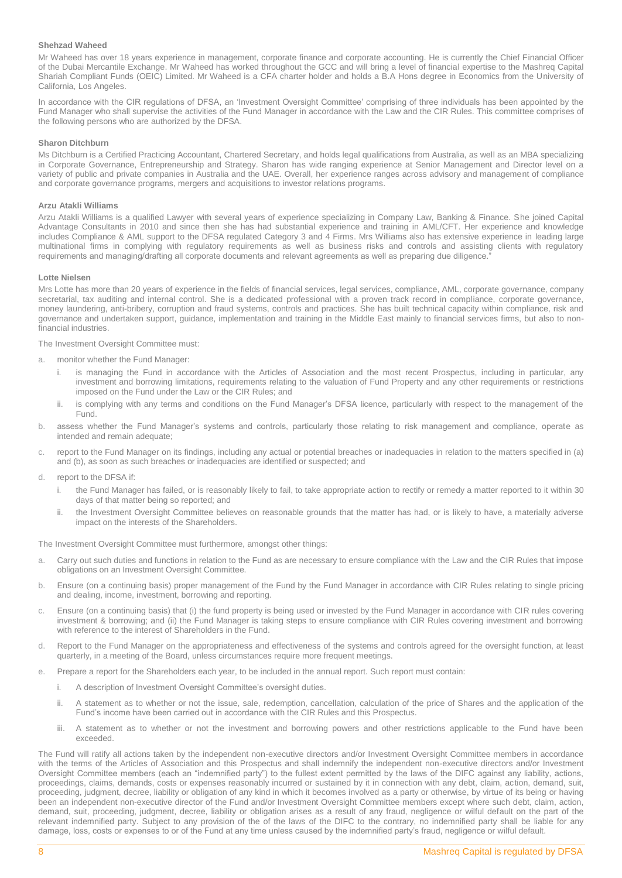## **Shehzad Waheed**

Mr Waheed has over 18 years experience in management, corporate finance and corporate accounting. He is currently the Chief Financial Officer of the Dubai Mercantile Exchange. Mr Waheed has worked throughout the GCC and will bring a level of financial expertise to the Mashreq Capital Shariah Compliant Funds (OEIC) Limited. Mr Waheed is a CFA charter holder and holds a B.A Hons degree in Economics from the University of California, Los Angeles.

In accordance with the CIR regulations of DFSA, an 'Investment Oversight Committee' comprising of three individuals has been appointed by the Fund Manager who shall supervise the activities of the Fund Manager in accordance with the Law and the CIR Rules. This committee comprises of the following persons who are authorized by the DFSA.

## **Sharon Ditchburn**

Ms Ditchburn is a Certified Practicing Accountant, Chartered Secretary, and holds legal qualifications from Australia, as well as an MBA specializing in Corporate Governance, Entrepreneurship and Strategy. Sharon has wide ranging experience at Senior Management and Director level on a variety of public and private companies in Australia and the UAE. Overall, her experience ranges across advisory and management of compliance and corporate governance programs, mergers and acquisitions to investor relations programs.

## **Arzu Atakli Williams**

Arzu Atakli Williams is a qualified Lawyer with several years of experience specializing in Company Law, Banking & Finance. She joined Capital Advantage Consultants in 2010 and since then she has had substantial experience and training in AML/CFT. Her experience and knowledge includes Compliance & AML support to the DFSA regulated Category 3 and 4 Firms. Mrs Williams also has extensive experience in leading large multinational firms in complying with regulatory requirements as well as business risks and controls and assisting clients with regulatory requirements and managing/drafting all corporate documents and relevant agreements as well as preparing due diligence."

## **Lotte Nielsen**

Mrs Lotte has more than 20 years of experience in the fields of financial services, legal services, compliance, AML, corporate governance, company secretarial, tax auditing and internal control. She is a dedicated professional with a proven track record in compliance, corporate governance, money laundering, anti-bribery, corruption and fraud systems, controls and practices. She has built technical capacity within compliance, risk and governance and undertaken support, guidance, implementation and training in the Middle East mainly to financial services firms, but also to nonfinancial industries.

The Investment Oversight Committee must:

- a. monitor whether the Fund Manager:
	- is managing the Fund in accordance with the Articles of Association and the most recent Prospectus, including in particular, any investment and borrowing limitations, requirements relating to the valuation of Fund Property and any other requirements or restrictions imposed on the Fund under the Law or the CIR Rules; and
	- ii. is complying with any terms and conditions on the Fund Manager's DFSA licence, particularly with respect to the management of the Fund.
- b. assess whether the Fund Manager's systems and controls, particularly those relating to risk management and compliance, operate as intended and remain adequate;
- c. report to the Fund Manager on its findings, including any actual or potential breaches or inadequacies in relation to the matters specified in (a) and (b), as soon as such breaches or inadequacies are identified or suspected; and
- d. report to the DFSA if:
	- i. the Fund Manager has failed, or is reasonably likely to fail, to take appropriate action to rectify or remedy a matter reported to it within 30 days of that matter being so reported; and
	- ii. the Investment Oversight Committee believes on reasonable grounds that the matter has had, or is likely to have, a materially adverse impact on the interests of the Shareholders.

The Investment Oversight Committee must furthermore, amongst other things:

- a. Carry out such duties and functions in relation to the Fund as are necessary to ensure compliance with the Law and the CIR Rules that impose obligations on an Investment Oversight Committee.
- b. Ensure (on a continuing basis) proper management of the Fund by the Fund Manager in accordance with CIR Rules relating to single pricing and dealing, income, investment, borrowing and reporting.
- c. Ensure (on a continuing basis) that (i) the fund property is being used or invested by the Fund Manager in accordance with CIR rules covering investment & borrowing; and (ii) the Fund Manager is taking steps to ensure compliance with CIR Rules covering investment and borrowing with reference to the interest of Shareholders in the Fund.
- d. Report to the Fund Manager on the appropriateness and effectiveness of the systems and controls agreed for the oversight function, at least quarterly, in a meeting of the Board, unless circumstances require more frequent meetings.
- e. Prepare a report for the Shareholders each year, to be included in the annual report. Such report must contain:
	- i. A description of Investment Oversight Committee's oversight duties.
	- ii. A statement as to whether or not the issue, sale, redemption, cancellation, calculation of the price of Shares and the application of the Fund's income have been carried out in accordance with the CIR Rules and this Prospectus.
	- iii. A statement as to whether or not the investment and borrowing powers and other restrictions applicable to the Fund have been exceeded.

The Fund will ratify all actions taken by the independent non-executive directors and/or Investment Oversight Committee members in accordance with the terms of the Articles of Association and this Prospectus and shall indemnify the independent non-executive directors and/or Investment Oversight Committee members (each an "indemnified party") to the fullest extent permitted by the laws of the DIFC against any liability, actions, proceedings, claims, demands, costs or expenses reasonably incurred or sustained by it in connection with any debt, claim, action, demand, suit, proceeding, judgment, decree, liability or obligation of any kind in which it becomes involved as a party or otherwise, by virtue of its being or having been an independent non-executive director of the Fund and/or Investment Oversight Committee members except where such debt, claim, action, demand, suit, proceeding, judgment, decree, liability or obligation arises as a result of any fraud, negligence or wilful default on the part of the relevant indemnified party. Subject to any provision of the of the laws of the DIFC to the contrary, no indemnified party shall be liable for any damage, loss, costs or expenses to or of the Fund at any time unless caused by the indemnified party's fraud, negligence or wilful default.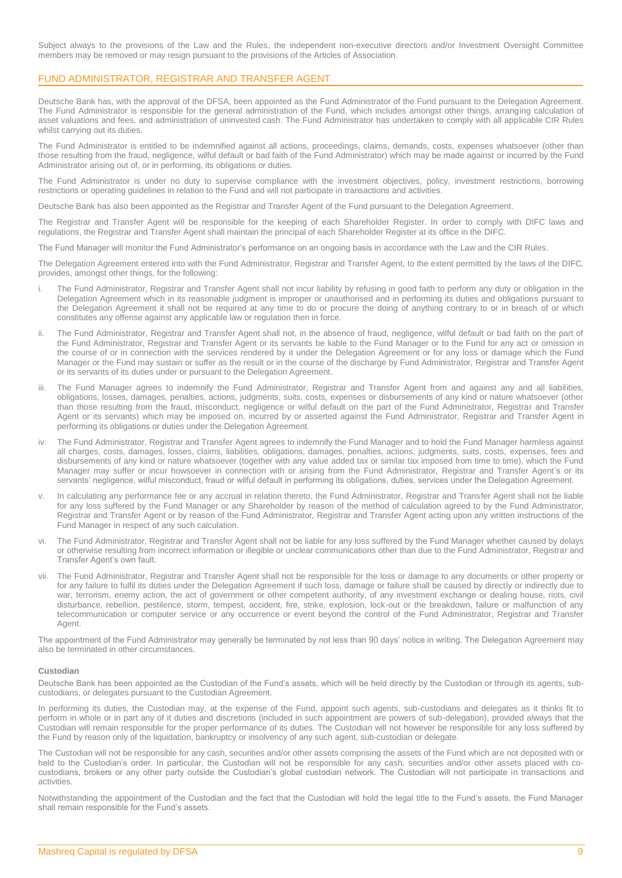Subject always to the provisions of the Law and the Rules, the independent non-executive directors and/or Investment Oversight Committee members may be removed or may resign pursuant to the provisions of the Articles of Association.

## FUND ADMINISTRATOR, REGISTRAR AND TRANSFER AGENT

Deutsche Bank has, with the approval of the DFSA, been appointed as the Fund Administrator of the Fund pursuant to the Delegation Agreement. The Fund Administrator is responsible for the general administration of the Fund, which includes amongst other things, arranging calculation of asset valuations and fees, and administration of uninvested cash. The Fund Administrator has undertaken to comply with all applicable CIR Rules whilst carrying out its duties.

The Fund Administrator is entitled to be indemnified against all actions, proceedings, claims, demands, costs, expenses whatsoever (other than those resulting from the fraud, negligence, wilful default or bad faith of the Fund Administrator) which may be made against or incurred by the Fund Administrator arising out of, or in performing, its obligations or duties.

The Fund Administrator is under no duty to supervise compliance with the investment objectives, policy, investment restrictions, borrowing restrictions or operating guidelines in relation to the Fund and will not participate in transactions and activities.

Deutsche Bank has also been appointed as the Registrar and Transfer Agent of the Fund pursuant to the Delegation Agreement.

The Registrar and Transfer Agent will be responsible for the keeping of each Shareholder Register. In order to comply with DIFC laws and regulations, the Registrar and Transfer Agent shall maintain the principal of each Shareholder Register at its office in the DIFC.

The Fund Manager will monitor the Fund Administrator's performance on an ongoing basis in accordance with the Law and the CIR Rules.

The Delegation Agreement entered into with the Fund Administrator, Registrar and Transfer Agent, to the extent permitted by the laws of the DIFC, provides, amongst other things, for the following:

- i. The Fund Administrator, Registrar and Transfer Agent shall not incur liability by refusing in good faith to perform any duty or obligation in the Delegation Agreement which in its reasonable judgment is improper or unauthorised and in performing its duties and obligations pursuant to the Delegation Agreement it shall not be required at any time to do or procure the doing of anything contrary to or in breach of or which constitutes any offense against any applicable law or regulation then in force.
- The Fund Administrator, Registrar and Transfer Agent shall not, in the absence of fraud, negligence, wilful default or bad faith on the part of the Fund Administrator, Registrar and Transfer Agent or its servants be liable to the Fund Manager or to the Fund for any act or omission in the course of or in connection with the services rendered by it under the Delegation Agreement or for any loss or damage which the Fund Manager or the Fund may sustain or suffer as the result or in the course of the discharge by Fund Administrator, Registrar and Transfer Agent or its servants of its duties under or pursuant to the Delegation Agreement.
- iii. The Fund Manager agrees to indemnify the Fund Administrator, Registrar and Transfer Agent from and against any and all liabilities, obligations, losses, damages, penalties, actions, judgments, suits, costs, expenses or disbursements of any kind or nature whatsoever (other than those resulting from the fraud, misconduct, negligence or wilful default on the part of the Fund Administrator, Registrar and Transfer Agent or its servants) which may be imposed on, incurred by or asserted against the Fund Administrator, Registrar and Transfer Agent in performing its obligations or duties under the Delegation Agreement.
- The Fund Administrator, Registrar and Transfer Agent agrees to indemnify the Fund Manager and to hold the Fund Manager harmless against all charges, costs, damages, losses, claims, liabilities, obligations, damages, penalties, actions, judgments, suits, costs, expenses, fees and disbursements of any kind or nature whatsoever (together with any value added tax or similar tax imposed from time to time), which the Fund Manager may suffer or incur howsoever in connection with or arising from the Fund Administrator, Registrar and Transfer Agent's or its servants' negligence, wilful misconduct, fraud or wilful default in performing its obligations, duties, services under the Delegation Agreement.
- In calculating any performance fee or any accrual in relation thereto, the Fund Administrator, Registrar and Transfer Agent shall not be liable for any loss suffered by the Fund Manager or any Shareholder by reason of the method of calculation agreed to by the Fund Administrator, Registrar and Transfer Agent or by reason of the Fund Administrator, Registrar and Transfer Agent acting upon any written instructions of the Fund Manager in respect of any such calculation.
- vi. The Fund Administrator, Registrar and Transfer Agent shall not be liable for any loss suffered by the Fund Manager whether caused by delays or otherwise resulting from incorrect information or illegible or unclear communications other than due to the Fund Administrator, Registrar and Transfer Agent's own fault.
- vii. The Fund Administrator, Registrar and Transfer Agent shall not be responsible for the loss or damage to any documents or other property or for any failure to fulfil its duties under the Delegation Agreement if such loss, damage or failure shall be caused by directly or indirectly due to war, terrorism, enemy action, the act of government or other competent authority, of any investment exchange or dealing house, riots, civil disturbance, rebellion, pestilence, storm, tempest, accident, fire, strike, explosion, lock-out or the breakdown, failure or malfunction of any telecommunication or computer service or any occurrence or event beyond the control of the Fund Administrator, Registrar and Transfer Agent.

The appointment of the Fund Administrator may generally be terminated by not less than 90 days' notice in writing. The Delegation Agreement may also be terminated in other circumstances.

## **Custodian**

Deutsche Bank has been appointed as the Custodian of the Fund's assets, which will be held directly by the Custodian or through its agents, subcustodians, or delegates pursuant to the Custodian Agreement.

In performing its duties, the Custodian may, at the expense of the Fund, appoint such agents, sub-custodians and delegates as it thinks fit to perform in whole or in part any of it duties and discretions (included in such appointment are powers of sub-delegation), provided always that the Custodian will remain responsible for the proper performance of its duties. The Custodian will not however be responsible for any loss suffered by the Fund by reason only of the liquidation, bankruptcy or insolvency of any such agent, sub-custodian or delegate.

The Custodian will not be responsible for any cash, securities and/or other assets comprising the assets of the Fund which are not deposited with or held to the Custodian's order. In particular, the Custodian will not be responsible for any cash, securities and/or other assets placed with cocustodians, brokers or any other party outside the Custodian's global custodian network. The Custodian will not participate in transactions and activities.

Notwithstanding the appointment of the Custodian and the fact that the Custodian will hold the legal title to the Fund's assets, the Fund Manager shall remain responsible for the Fund's assets.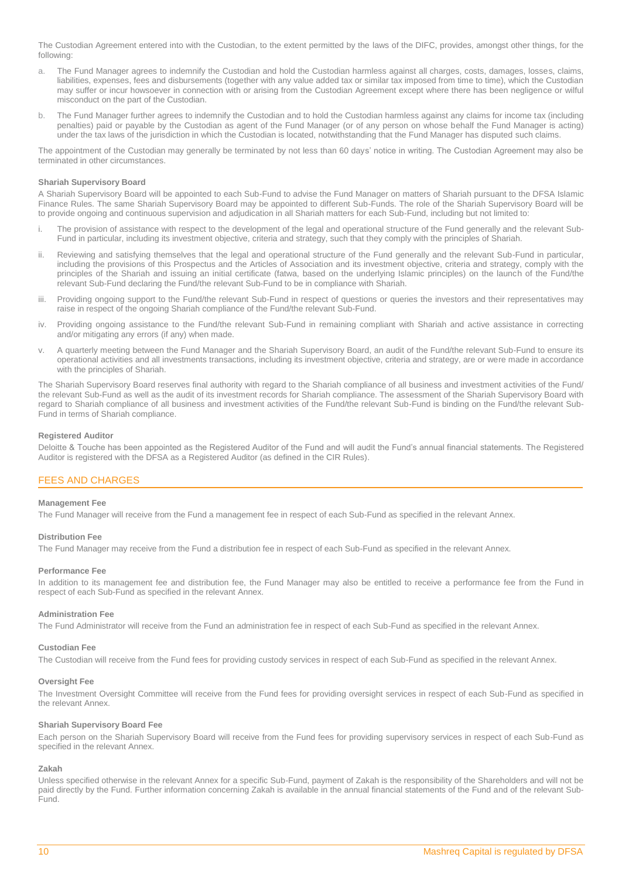The Custodian Agreement entered into with the Custodian, to the extent permitted by the laws of the DIFC, provides, amongst other things, for the following:

- a. The Fund Manager agrees to indemnify the Custodian and hold the Custodian harmless against all charges, costs, damages, losses, claims, liabilities, expenses, fees and disbursements (together with any value added tax or similar tax imposed from time to time), which the Custodian may suffer or incur howsoever in connection with or arising from the Custodian Agreement except where there has been negligence or wilful misconduct on the part of the Custodian.
- b. The Fund Manager further agrees to indemnify the Custodian and to hold the Custodian harmless against any claims for income tax (including penalties) paid or payable by the Custodian as agent of the Fund Manager (or of any person on whose behalf the Fund Manager is acting) under the tax laws of the jurisdiction in which the Custodian is located, notwithstanding that the Fund Manager has disputed such claims.

The appointment of the Custodian may generally be terminated by not less than 60 days' notice in writing. The Custodian Agreement may also be terminated in other circumstances.

## **Shariah Supervisory Board**

A Shariah Supervisory Board will be appointed to each Sub-Fund to advise the Fund Manager on matters of Shariah pursuant to the DFSA Islamic Finance Rules. The same Shariah Supervisory Board may be appointed to different Sub-Funds. The role of the Shariah Supervisory Board will be to provide ongoing and continuous supervision and adjudication in all Shariah matters for each Sub-Fund, including but not limited to:

- i. The provision of assistance with respect to the development of the legal and operational structure of the Fund generally and the relevant Sub-Fund in particular, including its investment objective, criteria and strategy, such that they comply with the principles of Shariah.
- ii. Reviewing and satisfying themselves that the legal and operational structure of the Fund generally and the relevant Sub-Fund in particular, including the provisions of this Prospectus and the Articles of Association and its investment objective, criteria and strategy, comply with the principles of the Shariah and issuing an initial certificate (fatwa, based on the underlying Islamic principles) on the launch of the Fund/the relevant Sub-Fund declaring the Fund/the relevant Sub-Fund to be in compliance with Shariah.
- iii. Providing ongoing support to the Fund/the relevant Sub-Fund in respect of questions or queries the investors and their representatives may raise in respect of the ongoing Shariah compliance of the Fund/the relevant Sub-Fund.
- iv. Providing ongoing assistance to the Fund/the relevant Sub-Fund in remaining compliant with Shariah and active assistance in correcting and/or mitigating any errors (if any) when made.
- v. A quarterly meeting between the Fund Manager and the Shariah Supervisory Board, an audit of the Fund/the relevant Sub-Fund to ensure its operational activities and all investments transactions, including its investment objective, criteria and strategy, are or were made in accordance with the principles of Shariah.

The Shariah Supervisory Board reserves final authority with regard to the Shariah compliance of all business and investment activities of the Fund/ the relevant Sub-Fund as well as the audit of its investment records for Shariah compliance. The assessment of the Shariah Supervisory Board with regard to Shariah compliance of all business and investment activities of the Fund/the relevant Sub-Fund is binding on the Fund/the relevant Sub-Fund in terms of Shariah compliance.

## **Registered Auditor**

Deloitte & Touche has been appointed as the Registered Auditor of the Fund and will audit the Fund's annual financial statements. The Registered Auditor is registered with the DFSA as a Registered Auditor (as defined in the CIR Rules).

## <span id="page-9-0"></span>FEES AND CHARGES

## **Management Fee**

The Fund Manager will receive from the Fund a management fee in respect of each Sub-Fund as specified in the relevant Annex.

## **Distribution Fee**

The Fund Manager may receive from the Fund a distribution fee in respect of each Sub-Fund as specified in the relevant Annex.

## **Performance Fee**

In addition to its management fee and distribution fee, the Fund Manager may also be entitled to receive a performance fee from the Fund in respect of each Sub-Fund as specified in the relevant Annex.

## **Administration Fee**

The Fund Administrator will receive from the Fund an administration fee in respect of each Sub-Fund as specified in the relevant Annex.

## **Custodian Fee**

The Custodian will receive from the Fund fees for providing custody services in respect of each Sub-Fund as specified in the relevant Annex.

## **Oversight Fee**

The Investment Oversight Committee will receive from the Fund fees for providing oversight services in respect of each Sub-Fund as specified in the relevant Annex.

## **Shariah Supervisory Board Fee**

Each person on the Shariah Supervisory Board will receive from the Fund fees for providing supervisory services in respect of each Sub-Fund as specified in the relevant Annex.

## **Zakah**

Unless specified otherwise in the relevant Annex for a specific Sub-Fund, payment of Zakah is the responsibility of the Shareholders and will not be paid directly by the Fund. Further information concerning Zakah is available in the annual financial statements of the Fund and of the relevant Sub-Fund.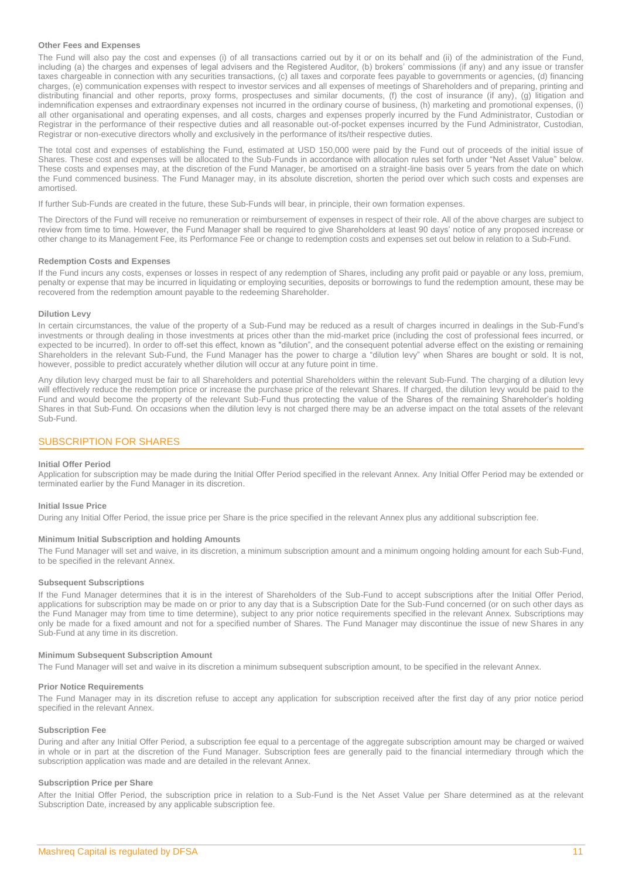## **Other Fees and Expenses**

The Fund will also pay the cost and expenses (i) of all transactions carried out by it or on its behalf and (ii) of the administration of the Fund, including (a) the charges and expenses of legal advisers and the Registered Auditor, (b) brokers' commissions (if any) and any issue or transfer taxes chargeable in connection with any securities transactions, (c) all taxes and corporate fees payable to governments or agencies, (d) financing charges, (e) communication expenses with respect to investor services and all expenses of meetings of Shareholders and of preparing, printing and distributing financial and other reports, proxy forms, prospectuses and similar documents, (f) the cost of insurance (if any), (g) litigation and indemnification expenses and extraordinary expenses not incurred in the ordinary course of business, (h) marketing and promotional expenses, (i) all other organisational and operating expenses, and all costs, charges and expenses properly incurred by the Fund Administrator, Custodian or Registrar in the performance of their respective duties and all reasonable out-of-pocket expenses incurred by the Fund Administrator, Custodian, Registrar or non-executive directors wholly and exclusively in the performance of its/their respective duties.

The total cost and expenses of establishing the Fund, estimated at USD 150,000 were paid by the Fund out of proceeds of the initial issue of Shares. These cost and expenses will be allocated to the Sub-Funds in accordance with allocation rules set forth under "Net Asset Value" below. These costs and expenses may, at the discretion of the Fund Manager, be amortised on a straight-line basis over 5 years from the date on which the Fund commenced business. The Fund Manager may, in its absolute discretion, shorten the period over which such costs and expenses are amortised.

If further Sub-Funds are created in the future, these Sub-Funds will bear, in principle, their own formation expenses.

The Directors of the Fund will receive no remuneration or reimbursement of expenses in respect of their role. All of the above charges are subject to review from time to time. However, the Fund Manager shall be required to give Shareholders at least 90 days' notice of any proposed increase or other change to its Management Fee, its Performance Fee or change to redemption costs and expenses set out below in relation to a Sub-Fund.

#### **Redemption Costs and Expenses**

If the Fund incurs any costs, expenses or losses in respect of any redemption of Shares, including any profit paid or payable or any loss, premium, penalty or expense that may be incurred in liquidating or employing securities, deposits or borrowings to fund the redemption amount, these may be recovered from the redemption amount payable to the redeeming Shareholder.

## **Dilution Levy**

In certain circumstances, the value of the property of a Sub-Fund may be reduced as a result of charges incurred in dealings in the Sub-Fund's investments or through dealing in those investments at prices other than the mid-market price (including the cost of professional fees incurred, or expected to be incurred). In order to off-set this effect, known as "dilution", and the consequent potential adverse effect on the existing or remaining Shareholders in the relevant Sub-Fund, the Fund Manager has the power to charge a "dilution levy" when Shares are bought or sold. It is not, however, possible to predict accurately whether dilution will occur at any future point in time.

Any dilution levy charged must be fair to all Shareholders and potential Shareholders within the relevant Sub-Fund. The charging of a dilution levy will effectively reduce the redemption price or increase the purchase price of the relevant Shares. If charged, the dilution levy would be paid to the Fund and would become the property of the relevant Sub-Fund thus protecting the value of the Shares of the remaining Shareholder's holding Shares in that Sub-Fund. On occasions when the dilution levy is not charged there may be an adverse impact on the total assets of the relevant Sub-Fund.

## <span id="page-10-0"></span>SUBSCRIPTION FOR SHARES

#### **Initial Offer Period**

Application for subscription may be made during the Initial Offer Period specified in the relevant Annex. Any Initial Offer Period may be extended or terminated earlier by the Fund Manager in its discretion.

#### **Initial Issue Price**

During any Initial Offer Period, the issue price per Share is the price specified in the relevant Annex plus any additional subscription fee.

#### **Minimum Initial Subscription and holding Amounts**

The Fund Manager will set and waive, in its discretion, a minimum subscription amount and a minimum ongoing holding amount for each Sub-Fund, to be specified in the relevant Annex.

#### **Subsequent Subscriptions**

If the Fund Manager determines that it is in the interest of Shareholders of the Sub-Fund to accept subscriptions after the Initial Offer Period, applications for subscription may be made on or prior to any day that is a Subscription Date for the Sub-Fund concerned (or on such other days as the Fund Manager may from time to time determine), subject to any prior notice requirements specified in the relevant Annex. Subscriptions may only be made for a fixed amount and not for a specified number of Shares. The Fund Manager may discontinue the issue of new Shares in any Sub-Fund at any time in its discretion.

## **Minimum Subsequent Subscription Amount**

The Fund Manager will set and waive in its discretion a minimum subsequent subscription amount, to be specified in the relevant Annex.

#### **Prior Notice Requirements**

The Fund Manager may in its discretion refuse to accept any application for subscription received after the first day of any prior notice period specified in the relevant Annex.

#### **Subscription Fee**

During and after any Initial Offer Period, a subscription fee equal to a percentage of the aggregate subscription amount may be charged or waived in whole or in part at the discretion of the Fund Manager. Subscription fees are generally paid to the financial intermediary through which the subscription application was made and are detailed in the relevant Annex.

#### **Subscription Price per Share**

After the Initial Offer Period, the subscription price in relation to a Sub-Fund is the Net Asset Value per Share determined as at the relevant Subscription Date, increased by any applicable subscription fee.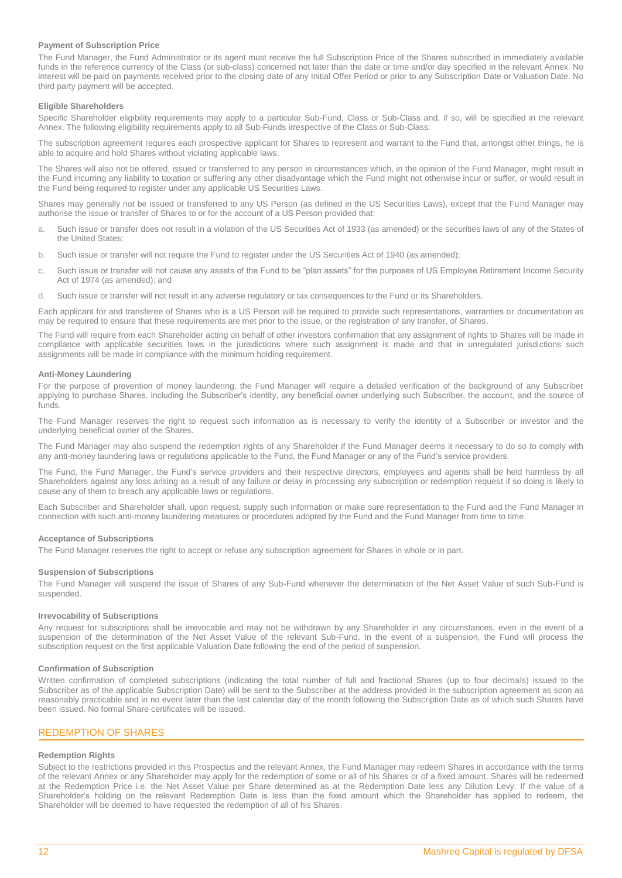## **Payment of Subscription Price**

The Fund Manager, the Fund Administrator or its agent must receive the full Subscription Price of the Shares subscribed in immediately available funds in the reference currency of the Class (or sub-class) concerned not later than the date or time and/or day specified in the relevant Annex. No interest will be paid on payments received prior to the closing date of any Initial Offer Period or prior to any Subscription Date or Valuation Date. No third party payment will be accepted.

## **Eligible Shareholders**

Specific Shareholder eligibility requirements may apply to a particular Sub-Fund, Class or Sub-Class and, if so, will be specified in the relevant Annex. The following eligibility requirements apply to all Sub-Funds irrespective of the Class or Sub-Class:

The subscription agreement requires each prospective applicant for Shares to represent and warrant to the Fund that, amongst other things, he is able to acquire and hold Shares without violating applicable laws.

The Shares will also not be offered, issued or transferred to any person in circumstances which, in the opinion of the Fund Manager, might result in the Fund incurring any liability to taxation or suffering any other disadvantage which the Fund might not otherwise incur or suffer, or would result in the Fund being required to register under any applicable US Securities Laws.

Shares may generally not be issued or transferred to any US Person (as defined in the US Securities Laws), except that the Fund Manager may authorise the issue or transfer of Shares to or for the account of a US Person provided that:

- a. Such issue or transfer does not result in a violation of the US Securities Act of 1933 (as amended) or the securities laws of any of the States of the United States;
- b. Such issue or transfer will not require the Fund to register under the US Securities Act of 1940 (as amended);
- c. Such issue or transfer will not cause any assets of the Fund to be "plan assets" for the purposes of US Employee Retirement Income Security Act of 1974 (as amended); and
- d. Such issue or transfer will not result in any adverse regulatory or tax consequences to the Fund or its Shareholders.

Each applicant for and transferee of Shares who is a US Person will be required to provide such representations, warranties or documentation as may be required to ensure that these requirements are met prior to the issue, or the registration of any transfer, of Shares.

The Fund will require from each Shareholder acting on behalf of other investors confirmation that any assignment of rights to Shares will be made in compliance with applicable securities laws in the jurisdictions where such assignment is made and that in unregulated jurisdictions such assignments will be made in compliance with the minimum holding requirement.

## **Anti-Money Laundering**

For the purpose of prevention of money laundering, the Fund Manager will require a detailed verification of the background of any Subscriber applying to purchase Shares, including the Subscriber's identity, any beneficial owner underlying such Subscriber, the account, and the source of funds.

The Fund Manager reserves the right to request such information as is necessary to verify the identity of a Subscriber or investor and the underlying beneficial owner of the Shares.

The Fund Manager may also suspend the redemption rights of any Shareholder if the Fund Manager deems it necessary to do so to comply with any anti-money laundering laws or regulations applicable to the Fund, the Fund Manager or any of the Fund's service providers.

The Fund, the Fund Manager, the Fund's service providers and their respective directors, employees and agents shall be held harmless by all Shareholders against any loss arising as a result of any failure or delay in processing any subscription or redemption request if so doing is likely to cause any of them to breach any applicable laws or regulations.

Each Subscriber and Shareholder shall, upon request, supply such information or make sure representation to the Fund and the Fund Manager in connection with such anti-money laundering measures or procedures adopted by the Fund and the Fund Manager from time to time.

## **Acceptance of Subscriptions**

The Fund Manager reserves the right to accept or refuse any subscription agreement for Shares in whole or in part.

## **Suspension of Subscriptions**

The Fund Manager will suspend the issue of Shares of any Sub-Fund whenever the determination of the Net Asset Value of such Sub-Fund is suspended.

#### **Irrevocability of Subscriptions**

Any request for subscriptions shall be irrevocable and may not be withdrawn by any Shareholder in any circumstances, even in the event of a suspension of the determination of the Net Asset Value of the relevant Sub-Fund. In the event of a suspension, the Fund will process the subscription request on the first applicable Valuation Date following the end of the period of suspension.

#### **Confirmation of Subscription**

Written confirmation of completed subscriptions (indicating the total number of full and fractional Shares (up to four decimals) issued to the Subscriber as of the applicable Subscription Date) will be sent to the Subscriber at the address provided in the subscription agreement as soon as reasonably practicable and in no event later than the last calendar day of the month following the Subscription Date as of which such Shares have been issued. No formal Share certificates will be issued.

## <span id="page-11-0"></span>REDEMPTION OF SHARES

## **Redemption Rights**

Subject to the restrictions provided in this Prospectus and the relevant Annex, the Fund Manager may redeem Shares in accordance with the terms of the relevant Annex or any Shareholder may apply for the redemption of some or all of his Shares or of a fixed amount. Shares will be redeemed at the Redemption Price i.e. the Net Asset Value per Share determined as at the Redemption Date less any Dilution Levy. If the value of a Shareholder's holding on the relevant Redemption Date is less than the fixed amount which the Shareholder has applied to redeem, the Shareholder will be deemed to have requested the redemption of all of his Shares.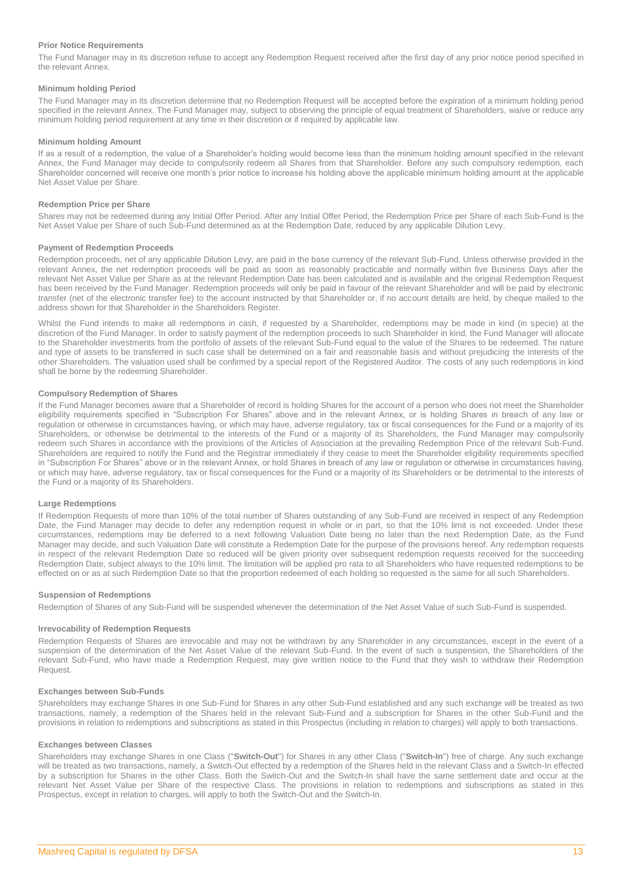## **Prior Notice Requirements**

The Fund Manager may in its discretion refuse to accept any Redemption Request received after the first day of any prior notice period specified in the relevant Annex.

## **Minimum holding Period**

The Fund Manager may in its discretion determine that no Redemption Request will be accepted before the expiration of a minimum holding period specified in the relevant Annex. The Fund Manager may, subject to observing the principle of equal treatment of Shareholders, waive or reduce any minimum holding period requirement at any time in their discretion or if required by applicable law.

## **Minimum holding Amount**

If as a result of a redemption, the value of a Shareholder's holding would become less than the minimum holding amount specified in the relevant Annex, the Fund Manager may decide to compulsorily redeem all Shares from that Shareholder. Before any such compulsory redemption, each Shareholder concerned will receive one month's prior notice to increase his holding above the applicable minimum holding amount at the applicable Net Asset Value per Share.

## **Redemption Price per Share**

Shares may not be redeemed during any Initial Offer Period. After any Initial Offer Period, the Redemption Price per Share of each Sub-Fund is the Net Asset Value per Share of such Sub-Fund determined as at the Redemption Date, reduced by any applicable Dilution Levy.

## **Payment of Redemption Proceeds**

Redemption proceeds, net of any applicable Dilution Levy, are paid in the base currency of the relevant Sub-Fund. Unless otherwise provided in the relevant Annex, the net redemption proceeds will be paid as soon as reasonably practicable and normally within five Business Days after the relevant Net Asset Value per Share as at the relevant Redemption Date has been calculated and is available and the original Redemption Request has been received by the Fund Manager. Redemption proceeds will only be paid in favour of the relevant Shareholder and will be paid by electronic transfer (net of the electronic transfer fee) to the account instructed by that Shareholder or, if no account details are held, by cheque mailed to the address shown for that Shareholder in the Shareholders Register.

Whilst the Fund intends to make all redemptions in cash, if requested by a Shareholder, redemptions may be made in kind (in specie) at the discretion of the Fund Manager. In order to satisfy payment of the redemption proceeds to such Shareholder in kind, the Fund Manager will allocate to the Shareholder investments from the portfolio of assets of the relevant Sub-Fund equal to the value of the Shares to be redeemed. The nature and type of assets to be transferred in such case shall be determined on a fair and reasonable basis and without prejudicing the interests of the other Shareholders. The valuation used shall be confirmed by a special report of the Registered Auditor. The costs of any such redemptions in kind shall be borne by the redeeming Shareholder.

## **Compulsory Redemption of Shares**

If the Fund Manager becomes aware that a Shareholder of record is holding Shares for the account of a person who does not meet the Shareholder eligibility requirements specified in "Subscription For Shares" above and in the relevant Annex, or is holding Shares in breach of any law or regulation or otherwise in circumstances having, or which may have, adverse regulatory, tax or fiscal consequences for the Fund or a majority of its Shareholders, or otherwise be detrimental to the interests of the Fund or a majority of its Shareholders, the Fund Manager may compulsorily redeem such Shares in accordance with the provisions of the Articles of Association at the prevailing Redemption Price of the relevant Sub-Fund. Shareholders are required to notify the Fund and the Registrar immediately if they cease to meet the Shareholder eligibility requirements specified in "Subscription For Shares" above or in the relevant Annex, or hold Shares in breach of any law or regulation or otherwise in circumstances having, or which may have, adverse regulatory, tax or fiscal consequences for the Fund or a majority of its Shareholders or be detrimental to the interests of the Fund or a majority of its Shareholders.

## **Large Redemptions**

If Redemption Requests of more than 10% of the total number of Shares outstanding of any Sub-Fund are received in respect of any Redemption Date, the Fund Manager may decide to defer any redemption request in whole or in part, so that the 10% limit is not exceeded. Under these circumstances, redemptions may be deferred to a next following Valuation Date being no later than the next Redemption Date, as the Fund Manager may decide, and such Valuation Date will constitute a Redemption Date for the purpose of the provisions hereof. Any redemption requests in respect of the relevant Redemption Date so reduced will be given priority over subsequent redemption requests received for the succeeding Redemption Date, subject always to the 10% limit. The limitation will be applied pro rata to all Shareholders who have requested redemptions to be effected on or as at such Redemption Date so that the proportion redeemed of each holding so requested is the same for all such Shareholders.

## **Suspension of Redemptions**

Redemption of Shares of any Sub-Fund will be suspended whenever the determination of the Net Asset Value of such Sub-Fund is suspended.

## **Irrevocability of Redemption Requests**

Redemption Requests of Shares are irrevocable and may not be withdrawn by any Shareholder in any circumstances, except in the event of a suspension of the determination of the Net Asset Value of the relevant Sub-Fund. In the event of such a suspension, the Shareholders of the relevant Sub-Fund, who have made a Redemption Request, may give written notice to the Fund that they wish to withdraw their Redemption Request.

## **Exchanges between Sub-Funds**

Shareholders may exchange Shares in one Sub-Fund for Shares in any other Sub-Fund established and any such exchange will be treated as two transactions, namely, a redemption of the Shares held in the relevant Sub-Fund and a subscription for Shares in the other Sub-Fund and the provisions in relation to redemptions and subscriptions as stated in this Prospectus (including in relation to charges) will apply to both transactions.

## **Exchanges between Classes**

Shareholders may exchange Shares in one Class ("**Switch-Out**") for Shares in any other Class ("**Switch-In**") free of charge. Any such exchange will be treated as two transactions, namely, a Switch-Out effected by a redemption of the Shares held in the relevant Class and a Switch-In effected by a subscription for Shares in the other Class. Both the Switch-Out and the Switch-In shall have the same settlement date and occur at the relevant Net Asset Value per Share of the respective Class. The provisions in relation to redemptions and subscriptions as stated in this Prospectus, except in relation to charges, will apply to both the Switch-Out and the Switch-In.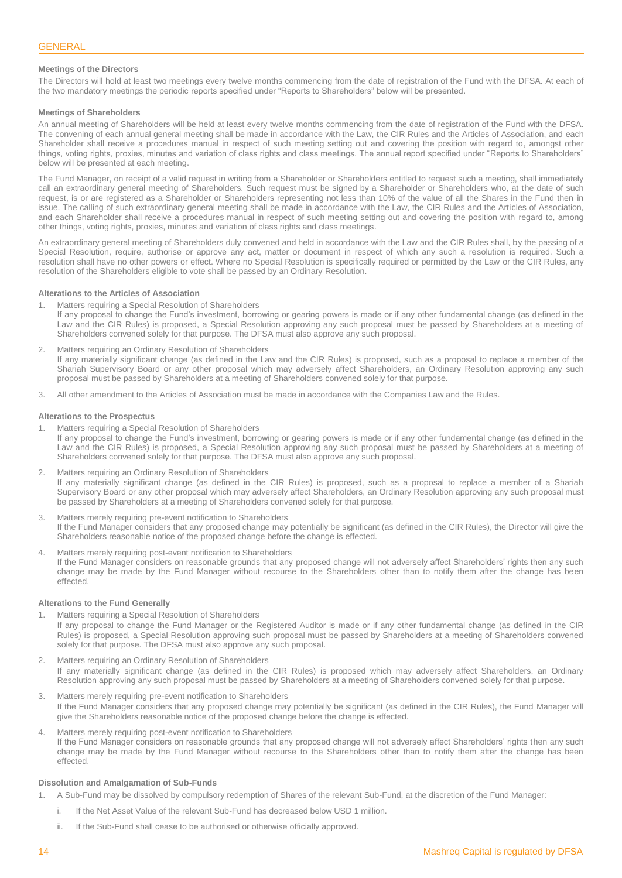## <span id="page-13-0"></span>**Meetings of the Directors**

The Directors will hold at least two meetings every twelve months commencing from the date of registration of the Fund with the DFSA. At each of the two mandatory meetings the periodic reports specified under "Reports to Shareholders" below will be presented.

## **Meetings of Shareholders**

An annual meeting of Shareholders will be held at least every twelve months commencing from the date of registration of the Fund with the DFSA. The convening of each annual general meeting shall be made in accordance with the Law, the CIR Rules and the Articles of Association, and each Shareholder shall receive a procedures manual in respect of such meeting setting out and covering the position with regard to, amongst other things, voting rights, proxies, minutes and variation of class rights and class meetings. The annual report specified under "Reports to Shareholders" below will be presented at each meeting.

The Fund Manager, on receipt of a valid request in writing from a Shareholder or Shareholders entitled to request such a meeting, shall immediately call an extraordinary general meeting of Shareholders. Such request must be signed by a Shareholder or Shareholders who, at the date of such request, is or are registered as a Shareholder or Shareholders representing not less than 10% of the value of all the Shares in the Fund then in issue. The calling of such extraordinary general meeting shall be made in accordance with the Law, the CIR Rules and the Articles of Association, and each Shareholder shall receive a procedures manual in respect of such meeting setting out and covering the position with regard to, among other things, voting rights, proxies, minutes and variation of class rights and class meetings.

An extraordinary general meeting of Shareholders duly convened and held in accordance with the Law and the CIR Rules shall, by the passing of a Special Resolution, require, authorise or approve any act, matter or document in respect of which any such a resolution is required. Such a resolution shall have no other powers or effect. Where no Special Resolution is specifically required or permitted by the Law or the CIR Rules, any resolution of the Shareholders eligible to vote shall be passed by an Ordinary Resolution.

## **Alterations to the Articles of Association**

- 1. Matters requiring a Special Resolution of Shareholders If any proposal to change the Fund's investment, borrowing or gearing powers is made or if any other fundamental change (as defined in the Law and the CIR Rules) is proposed, a Special Resolution approving any such proposal must be passed by Shareholders at a meeting of Shareholders convened solely for that purpose. The DFSA must also approve any such proposal.
- 2. Matters requiring an Ordinary Resolution of Shareholders If any materially significant change (as defined in the Law and the CIR Rules) is proposed, such as a proposal to replace a member of the Shariah Supervisory Board or any other proposal which may adversely affect Shareholders, an Ordinary Resolution approving any such proposal must be passed by Shareholders at a meeting of Shareholders convened solely for that purpose.
- 3. All other amendment to the Articles of Association must be made in accordance with the Companies Law and the Rules.

#### **Alterations to the Prospectus**

- 1. Matters requiring a Special Resolution of Shareholders If any proposal to change the Fund's investment, borrowing or gearing powers is made or if any other fundamental change (as defined in the Law and the CIR Rules) is proposed, a Special Resolution approving any such proposal must be passed by Shareholders at a meeting of Shareholders convened solely for that purpose. The DFSA must also approve any such proposal.
- 2. Matters requiring an Ordinary Resolution of Shareholders If any materially significant change (as defined in the CIR Rules) is proposed, such as a proposal to replace a member of a Shariah Supervisory Board or any other proposal which may adversely affect Shareholders, an Ordinary Resolution approving any such proposal must be passed by Shareholders at a meeting of Shareholders convened solely for that purpose.
- Matters merely requiring pre-event notification to Shareholders If the Fund Manager considers that any proposed change may potentially be significant (as defined in the CIR Rules), the Director will give the Shareholders reasonable notice of the proposed change before the change is effected.
- Matters merely requiring post-event notification to Shareholders If the Fund Manager considers on reasonable grounds that any proposed change will not adversely affect Shareholders' rights then any such change may be made by the Fund Manager without recourse to the Shareholders other than to notify them after the change has been effected.

## **Alterations to the Fund Generally**

- 1. Matters requiring a Special Resolution of Shareholders If any proposal to change the Fund Manager or the Registered Auditor is made or if any other fundamental change (as defined in the CIR Rules) is proposed, a Special Resolution approving such proposal must be passed by Shareholders at a meeting of Shareholders convened solely for that purpose. The DFSA must also approve any such proposal.
- 2. Matters requiring an Ordinary Resolution of Shareholders If any materially significant change (as defined in the CIR Rules) is proposed which may adversely affect Shareholders, an Ordinary Resolution approving any such proposal must be passed by Shareholders at a meeting of Shareholders convened solely for that purpose.
- 3. Matters merely requiring pre-event notification to Shareholders If the Fund Manager considers that any proposed change may potentially be significant (as defined in the CIR Rules), the Fund Manager will give the Shareholders reasonable notice of the proposed change before the change is effected.
- 4. Matters merely requiring post-event notification to Shareholders If the Fund Manager considers on reasonable grounds that any proposed change will not adversely affect Shareholders' rights then any such change may be made by the Fund Manager without recourse to the Shareholders other than to notify them after the change has been effected.

## **Dissolution and Amalgamation of Sub-Funds**

- 1. A Sub-Fund may be dissolved by compulsory redemption of Shares of the relevant Sub-Fund, at the discretion of the Fund Manager:
	- i. If the Net Asset Value of the relevant Sub-Fund has decreased below USD 1 million.
	- ii. If the Sub-Fund shall cease to be authorised or otherwise officially approved.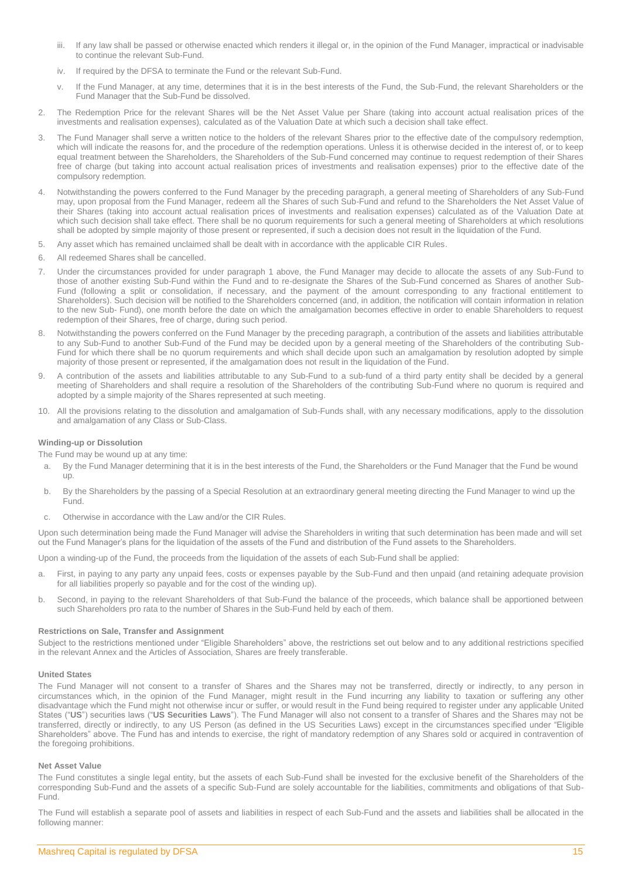- iii. If any law shall be passed or otherwise enacted which renders it illegal or, in the opinion of the Fund Manager, impractical or inadvisable to continue the relevant Sub-Fund.
- iv. If required by the DFSA to terminate the Fund or the relevant Sub-Fund.
- v. If the Fund Manager, at any time, determines that it is in the best interests of the Fund, the Sub-Fund, the relevant Shareholders or the Fund Manager that the Sub-Fund be dissolved.
- 2. The Redemption Price for the relevant Shares will be the Net Asset Value per Share (taking into account actual realisation prices of the investments and realisation expenses), calculated as of the Valuation Date at which such a decision shall take effect.
- 3. The Fund Manager shall serve a written notice to the holders of the relevant Shares prior to the effective date of the compulsory redemption, which will indicate the reasons for, and the procedure of the redemption operations. Unless it is otherwise decided in the interest of, or to keep equal treatment between the Shareholders, the Shareholders of the Sub-Fund concerned may continue to request redemption of their Shares free of charge (but taking into account actual realisation prices of investments and realisation expenses) prior to the effective date of the compulsory redemption.
- 4. Notwithstanding the powers conferred to the Fund Manager by the preceding paragraph, a general meeting of Shareholders of any Sub-Fund may, upon proposal from the Fund Manager, redeem all the Shares of such Sub-Fund and refund to the Shareholders the Net Asset Value of their Shares (taking into account actual realisation prices of investments and realisation expenses) calculated as of the Valuation Date at which such decision shall take effect. There shall be no quorum requirements for such a general meeting of Shareholders at which resolutions shall be adopted by simple majority of those present or represented, if such a decision does not result in the liquidation of the Fund.
- 5. Any asset which has remained unclaimed shall be dealt with in accordance with the applicable CIR Rules.
- 6. All redeemed Shares shall be cancelled.
- 7. Under the circumstances provided for under paragraph 1 above, the Fund Manager may decide to allocate the assets of any Sub-Fund to those of another existing Sub-Fund within the Fund and to re-designate the Shares of the Sub-Fund concerned as Shares of another Sub-Fund (following a split or consolidation, if necessary, and the payment of the amount corresponding to any fractional entitlement to Shareholders). Such decision will be notified to the Shareholders concerned (and, in addition, the notification will contain information in relation to the new Sub- Fund), one month before the date on which the amalgamation becomes effective in order to enable Shareholders to request redemption of their Shares, free of charge, during such period.
- 8. Notwithstanding the powers conferred on the Fund Manager by the preceding paragraph, a contribution of the assets and liabilities attributable to any Sub-Fund to another Sub-Fund of the Fund may be decided upon by a general meeting of the Shareholders of the contributing Sub-Fund for which there shall be no quorum requirements and which shall decide upon such an amalgamation by resolution adopted by simple majority of those present or represented, if the amalgamation does not result in the liquidation of the Fund.
- 9. A contribution of the assets and liabilities attributable to any Sub-Fund to a sub-fund of a third party entity shall be decided by a general meeting of Shareholders and shall require a resolution of the Shareholders of the contributing Sub-Fund where no quorum is required and adopted by a simple majority of the Shares represented at such meeting.
- 10. All the provisions relating to the dissolution and amalgamation of Sub-Funds shall, with any necessary modifications, apply to the dissolution and amalgamation of any Class or Sub-Class.

## **Winding-up or Dissolution**

The Fund may be wound up at any time:

- a. By the Fund Manager determining that it is in the best interests of the Fund, the Shareholders or the Fund Manager that the Fund be wound up.
- b. By the Shareholders by the passing of a Special Resolution at an extraordinary general meeting directing the Fund Manager to wind up the Fund.
- c. Otherwise in accordance with the Law and/or the CIR Rules.

Upon such determination being made the Fund Manager will advise the Shareholders in writing that such determination has been made and will set out the Fund Manager's plans for the liquidation of the assets of the Fund and distribution of the Fund assets to the Shareholders.

Upon a winding-up of the Fund, the proceeds from the liquidation of the assets of each Sub-Fund shall be applied:

- a. First, in paying to any party any unpaid fees, costs or expenses payable by the Sub-Fund and then unpaid (and retaining adequate provision for all liabilities properly so payable and for the cost of the winding up).
- b. Second, in paying to the relevant Shareholders of that Sub-Fund the balance of the proceeds, which balance shall be apportioned between such Shareholders pro rata to the number of Shares in the Sub-Fund held by each of them.

## **Restrictions on Sale, Transfer and Assignment**

Subject to the restrictions mentioned under "Eligible Shareholders" above, the restrictions set out below and to any additional restrictions specified in the relevant Annex and the Articles of Association, Shares are freely transferable.

## **United States**

The Fund Manager will not consent to a transfer of Shares and the Shares may not be transferred, directly or indirectly, to any person in circumstances which, in the opinion of the Fund Manager, might result in the Fund incurring any liability to taxation or suffering any other disadvantage which the Fund might not otherwise incur or suffer, or would result in the Fund being required to register under any applicable United States ("**US**") securities laws ("**US Securities Laws**"). The Fund Manager will also not consent to a transfer of Shares and the Shares may not be transferred, directly or indirectly, to any US Person (as defined in the US Securities Laws) except in the circumstances specified under "Eligible Shareholders" above. The Fund has and intends to exercise, the right of mandatory redemption of any Shares sold or acquired in contravention of the foregoing prohibitions.

## **Net Asset Value**

The Fund constitutes a single legal entity, but the assets of each Sub-Fund shall be invested for the exclusive benefit of the Shareholders of the corresponding Sub-Fund and the assets of a specific Sub-Fund are solely accountable for the liabilities, commitments and obligations of that Sub-Fund.

The Fund will establish a separate pool of assets and liabilities in respect of each Sub-Fund and the assets and liabilities shall be allocated in the following manner: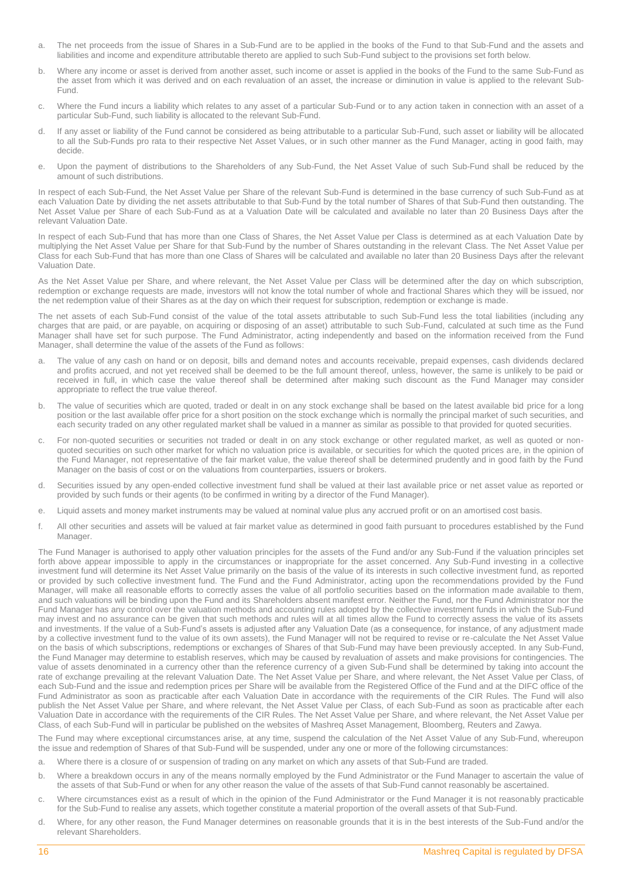- a. The net proceeds from the issue of Shares in a Sub-Fund are to be applied in the books of the Fund to that Sub-Fund and the assets and liabilities and income and expenditure attributable thereto are applied to such Sub-Fund subject to the provisions set forth below.
- b. Where any income or asset is derived from another asset, such income or asset is applied in the books of the Fund to the same Sub-Fund as the asset from which it was derived and on each revaluation of an asset, the increase or diminution in value is applied to the relevant Sub-Fund.
- c. Where the Fund incurs a liability which relates to any asset of a particular Sub-Fund or to any action taken in connection with an asset of a particular Sub-Fund, such liability is allocated to the relevant Sub-Fund.
- d. If any asset or liability of the Fund cannot be considered as being attributable to a particular Sub-Fund, such asset or liability will be allocated to all the Sub-Funds pro rata to their respective Net Asset Values, or in such other manner as the Fund Manager, acting in good faith, may decide.
- e. Upon the payment of distributions to the Shareholders of any Sub-Fund, the Net Asset Value of such Sub-Fund shall be reduced by the amount of such distributions.

In respect of each Sub-Fund, the Net Asset Value per Share of the relevant Sub-Fund is determined in the base currency of such Sub-Fund as at each Valuation Date by dividing the net assets attributable to that Sub-Fund by the total number of Shares of that Sub-Fund then outstanding. The Net Asset Value per Share of each Sub-Fund as at a Valuation Date will be calculated and available no later than 20 Business Days after the relevant Valuation Date.

In respect of each Sub-Fund that has more than one Class of Shares, the Net Asset Value per Class is determined as at each Valuation Date by multiplying the Net Asset Value per Share for that Sub-Fund by the number of Shares outstanding in the relevant Class. The Net Asset Value per Class for each Sub-Fund that has more than one Class of Shares will be calculated and available no later than 20 Business Days after the relevant Valuation Date.

As the Net Asset Value per Share, and where relevant, the Net Asset Value per Class will be determined after the day on which subscription, redemption or exchange requests are made, investors will not know the total number of whole and fractional Shares which they will be issued, nor the net redemption value of their Shares as at the day on which their request for subscription, redemption or exchange is made.

The net assets of each Sub-Fund consist of the value of the total assets attributable to such Sub-Fund less the total liabilities (including any charges that are paid, or are payable, on acquiring or disposing of an asset) attributable to such Sub-Fund, calculated at such time as the Fund Manager shall have set for such purpose. The Fund Administrator, acting independently and based on the information received from the Fund Manager, shall determine the value of the assets of the Fund as follows:

- a. The value of any cash on hand or on deposit, bills and demand notes and accounts receivable, prepaid expenses, cash dividends declared and profits accrued, and not yet received shall be deemed to be the full amount thereof, unless, however, the same is unlikely to be paid or received in full, in which case the value thereof shall be determined after making such discount as the Fund Manager may consider appropriate to reflect the true value thereof.
- b. The value of securities which are quoted, traded or dealt in on any stock exchange shall be based on the latest available bid price for a long position or the last available offer price for a short position on the stock exchange which is normally the principal market of such securities, and each security traded on any other regulated market shall be valued in a manner as similar as possible to that provided for quoted securities.
- c. For non-quoted securities or securities not traded or dealt in on any stock exchange or other regulated market, as well as quoted or nonquoted securities on such other market for which no valuation price is available, or securities for which the quoted prices are, in the opinion of the Fund Manager, not representative of the fair market value, the value thereof shall be determined prudently and in good faith by the Fund Manager on the basis of cost or on the valuations from counterparties, issuers or brokers.
- d. Securities issued by any open-ended collective investment fund shall be valued at their last available price or net asset value as reported or provided by such funds or their agents (to be confirmed in writing by a director of the Fund Manager).
- e. Liquid assets and money market instruments may be valued at nominal value plus any accrued profit or on an amortised cost basis.
- f. All other securities and assets will be valued at fair market value as determined in good faith pursuant to procedures established by the Fund Manager.

The Fund Manager is authorised to apply other valuation principles for the assets of the Fund and/or any Sub-Fund if the valuation principles set forth above appear impossible to apply in the circumstances or inappropriate for the asset concerned. Any Sub-Fund investing in a collective investment fund will determine its Net Asset Value primarily on the basis of the value of its interests in such collective investment fund, as reported or provided by such collective investment fund. The Fund and the Fund Administrator, acting upon the recommendations provided by the Fund Manager, will make all reasonable efforts to correctly asses the value of all portfolio securities based on the information made available to them, and such valuations will be binding upon the Fund and its Shareholders absent manifest error. Neither the Fund, nor the Fund Administrator nor the Fund Manager has any control over the valuation methods and accounting rules adopted by the collective investment funds in which the Sub-Fund may invest and no assurance can be given that such methods and rules will at all times allow the Fund to correctly assess the value of its assets and investments. If the value of a Sub-Fund's assets is adjusted after any Valuation Date (as a consequence, for instance, of any adjustment made by a collective investment fund to the value of its own assets), the Fund Manager will not be required to revise or re-calculate the Net Asset Value on the basis of which subscriptions, redemptions or exchanges of Shares of that Sub-Fund may have been previously accepted. In any Sub-Fund, the Fund Manager may determine to establish reserves, which may be caused by revaluation of assets and make provisions for contingencies. The value of assets denominated in a currency other than the reference currency of a given Sub-Fund shall be determined by taking into account the rate of exchange prevailing at the relevant Valuation Date. The Net Asset Value per Share, and where relevant, the Net Asset Value per Class, of each Sub-Fund and the issue and redemption prices per Share will be available from the Registered Office of the Fund and at the DIFC office of the Fund Administrator as soon as practicable after each Valuation Date in accordance with the requirements of the CIR Rules. The Fund will also publish the Net Asset Value per Share, and where relevant, the Net Asset Value per Class, of each Sub-Fund as soon as practicable after each Valuation Date in accordance with the requirements of the CIR Rules. The Net Asset Value per Share, and where relevant, the Net Asset Value per Class, of each Sub-Fund will in particular be published on the websites of Mashreq Asset Management, Bloomberg, Reuters and Zawya.

The Fund may where exceptional circumstances arise, at any time, suspend the calculation of the Net Asset Value of any Sub-Fund, whereupon the issue and redemption of Shares of that Sub-Fund will be suspended, under any one or more of the following circumstances:

- a. Where there is a closure of or suspension of trading on any market on which any assets of that Sub-Fund are traded.
- b. Where a breakdown occurs in any of the means normally employed by the Fund Administrator or the Fund Manager to ascertain the value of the assets of that Sub-Fund or when for any other reason the value of the assets of that Sub-Fund cannot reasonably be ascertained.
- c. Where circumstances exist as a result of which in the opinion of the Fund Administrator or the Fund Manager it is not reasonably practicable for the Sub-Fund to realise any assets, which together constitute a material proportion of the overall assets of that Sub-Fund.
- d. Where, for any other reason, the Fund Manager determines on reasonable grounds that it is in the best interests of the Sub-Fund and/or the relevant Shareholders.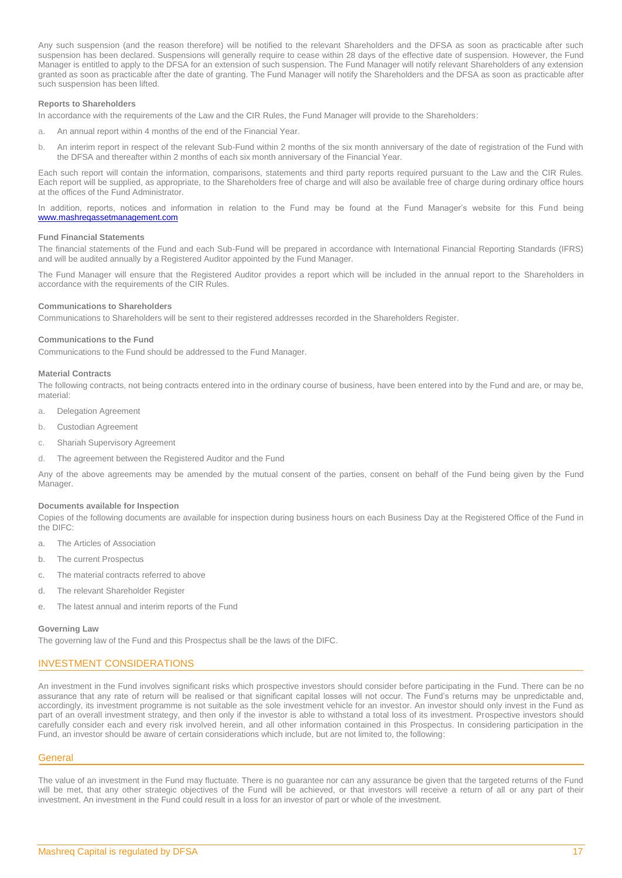Any such suspension (and the reason therefore) will be notified to the relevant Shareholders and the DFSA as soon as practicable after such suspension has been declared. Suspensions will generally require to cease within 28 days of the effective date of suspension. However, the Fund Manager is entitled to apply to the DFSA for an extension of such suspension. The Fund Manager will notify relevant Shareholders of any extension granted as soon as practicable after the date of granting. The Fund Manager will notify the Shareholders and the DFSA as soon as practicable after such suspension has been lifted.

## **Reports to Shareholders**

In accordance with the requirements of the Law and the CIR Rules, the Fund Manager will provide to the Shareholders:

- a. An annual report within 4 months of the end of the Financial Year.
- b. An interim report in respect of the relevant Sub-Fund within 2 months of the six month anniversary of the date of registration of the Fund with the DFSA and thereafter within 2 months of each six month anniversary of the Financial Year.

Each such report will contain the information, comparisons, statements and third party reports required pursuant to the Law and the CIR Rules. Each report will be supplied, as appropriate, to the Shareholders free of charge and will also be available free of charge during ordinary office hours at the offices of the Fund Administrator.

In addition, reports, notices and information in relation to the Fund may be found at the Fund Manager's website for this Fund being [www.mashreqassetmanagement.com](http://www.mashreqassetmanagement.com/)

## **Fund Financial Statements**

The financial statements of the Fund and each Sub-Fund will be prepared in accordance with International Financial Reporting Standards (IFRS) and will be audited annually by a Registered Auditor appointed by the Fund Manager.

The Fund Manager will ensure that the Registered Auditor provides a report which will be included in the annual report to the Shareholders in accordance with the requirements of the CIR Rules.

#### **Communications to Shareholders**

Communications to Shareholders will be sent to their registered addresses recorded in the Shareholders Register.

## **Communications to the Fund**

Communications to the Fund should be addressed to the Fund Manager.

## **Material Contracts**

The following contracts, not being contracts entered into in the ordinary course of business, have been entered into by the Fund and are, or may be, material:

- a. Delegation Agreement
- b. Custodian Agreement
- c. Shariah Supervisory Agreement
- d. The agreement between the Registered Auditor and the Fund

Any of the above agreements may be amended by the mutual consent of the parties, consent on behalf of the Fund being given by the Fund Manager.

## **Documents available for Inspection**

Copies of the following documents are available for inspection during business hours on each Business Day at the Registered Office of the Fund in the DIFC:

- a. The Articles of Association
- b. The current Prospectus
- c. The material contracts referred to above
- d. The relevant Shareholder Register
- e. The latest annual and interim reports of the Fund

#### **Governing Law**

The governing law of the Fund and this Prospectus shall be the laws of the DIFC.

## <span id="page-16-0"></span>INVESTMENT CONSIDERATIONS

An investment in the Fund involves significant risks which prospective investors should consider before participating in the Fund. There can be no assurance that any rate of return will be realised or that significant capital losses will not occur. The Fund's returns may be unpredictable and, accordingly, its investment programme is not suitable as the sole investment vehicle for an investor. An investor should only invest in the Fund as part of an overall investment strategy, and then only if the investor is able to withstand a total loss of its investment. Prospective investors should carefully consider each and every risk involved herein, and all other information contained in this Prospectus. In considering participation in the Fund, an investor should be aware of certain considerations which include, but are not limited to, the following:

## **General**

The value of an investment in the Fund may fluctuate. There is no guarantee nor can any assurance be given that the targeted returns of the Fund will be met, that any other strategic objectives of the Fund will be achieved, or that investors will receive a return of all or any part of their investment. An investment in the Fund could result in a loss for an investor of part or whole of the investment.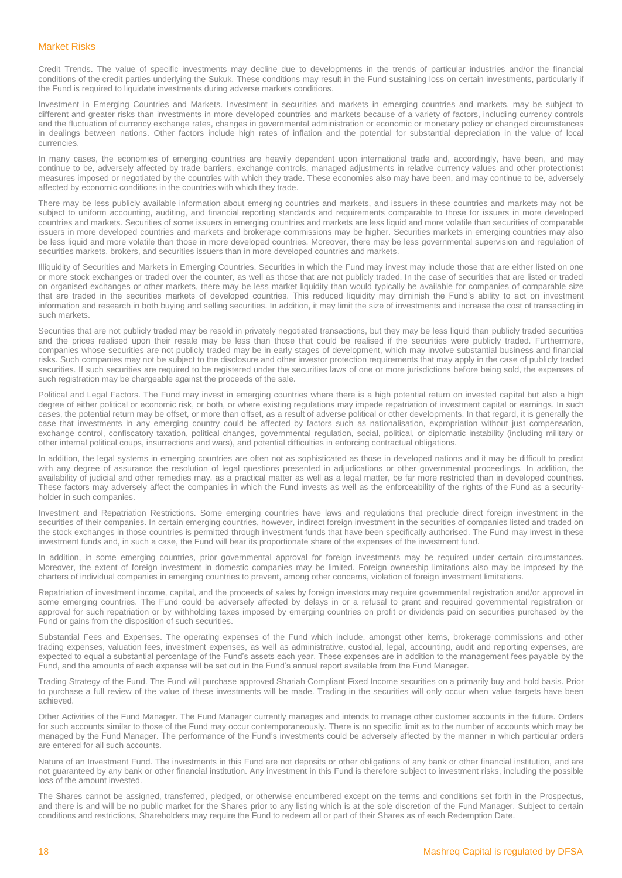Credit Trends. The value of specific investments may decline due to developments in the trends of particular industries and/or the financial conditions of the credit parties underlying the Sukuk. These conditions may result in the Fund sustaining loss on certain investments, particularly if the Fund is required to liquidate investments during adverse markets conditions.

Investment in Emerging Countries and Markets. Investment in securities and markets in emerging countries and markets, may be subject to different and greater risks than investments in more developed countries and markets because of a variety of factors, including currency controls and the fluctuation of currency exchange rates, changes in governmental administration or economic or monetary policy or changed circumstances in dealings between nations. Other factors include high rates of inflation and the potential for substantial depreciation in the value of local currencies.

In many cases, the economies of emerging countries are heavily dependent upon international trade and, accordingly, have been, and may continue to be, adversely affected by trade barriers, exchange controls, managed adjustments in relative currency values and other protectionist measures imposed or negotiated by the countries with which they trade. These economies also may have been, and may continue to be, adversely affected by economic conditions in the countries with which they trade.

There may be less publicly available information about emerging countries and markets, and issuers in these countries and markets may not be subject to uniform accounting, auditing, and financial reporting standards and requirements comparable to those for issuers in more developed countries and markets. Securities of some issuers in emerging countries and markets are less liquid and more volatile than securities of comparable issuers in more developed countries and markets and brokerage commissions may be higher. Securities markets in emerging countries may also be less liquid and more volatile than those in more developed countries. Moreover, there may be less governmental supervision and regulation of securities markets, brokers, and securities issuers than in more developed countries and markets.

Illiquidity of Securities and Markets in Emerging Countries. Securities in which the Fund may invest may include those that are either listed on one or more stock exchanges or traded over the counter, as well as those that are not publicly traded. In the case of securities that are listed or traded on organised exchanges or other markets, there may be less market liquidity than would typically be available for companies of comparable size that are traded in the securities markets of developed countries. This reduced liquidity may diminish the Fund's ability to act on investment information and research in both buying and selling securities. In addition, it may limit the size of investments and increase the cost of transacting in such markets.

Securities that are not publicly traded may be resold in privately negotiated transactions, but they may be less liquid than publicly traded securities and the prices realised upon their resale may be less than those that could be realised if the securities were publicly traded. Furthermore, companies whose securities are not publicly traded may be in early stages of development, which may involve substantial business and financial risks. Such companies may not be subject to the disclosure and other investor protection requirements that may apply in the case of publicly traded securities. If such securities are required to be registered under the securities laws of one or more jurisdictions before being sold, the expenses of such registration may be chargeable against the proceeds of the sale.

Political and Legal Factors. The Fund may invest in emerging countries where there is a high potential return on invested capital but also a high degree of either political or economic risk, or both, or where existing regulations may impede repatriation of investment capital or earnings. In such cases, the potential return may be offset, or more than offset, as a result of adverse political or other developments. In that regard, it is generally the case that investments in any emerging country could be affected by factors such as nationalisation, expropriation without just compensation, exchange control, confiscatory taxation, political changes, governmental regulation, social, political, or diplomatic instability (including military or other internal political coups, insurrections and wars), and potential difficulties in enforcing contractual obligations.

In addition, the legal systems in emerging countries are often not as sophisticated as those in developed nations and it may be difficult to predict with any degree of assurance the resolution of legal questions presented in adjudications or other governmental proceedings. In addition, the availability of judicial and other remedies may, as a practical matter as well as a legal matter, be far more restricted than in developed countries. These factors may adversely affect the companies in which the Fund invests as well as the enforceability of the rights of the Fund as a securityholder in such companies.

Investment and Repatriation Restrictions. Some emerging countries have laws and regulations that preclude direct foreign investment in the securities of their companies. In certain emerging countries, however, indirect foreign investment in the securities of companies listed and traded on the stock exchanges in those countries is permitted through investment funds that have been specifically authorised. The Fund may invest in these investment funds and, in such a case, the Fund will bear its proportionate share of the expenses of the investment fund.

In addition, in some emerging countries, prior governmental approval for foreign investments may be required under certain circumstances. Moreover, the extent of foreign investment in domestic companies may be limited. Foreign ownership limitations also may be imposed by the charters of individual companies in emerging countries to prevent, among other concerns, violation of foreign investment limitations.

Repatriation of investment income, capital, and the proceeds of sales by foreign investors may require governmental registration and/or approval in some emerging countries. The Fund could be adversely affected by delays in or a refusal to grant and required governmental registration or approval for such repatriation or by withholding taxes imposed by emerging countries on profit or dividends paid on securities purchased by the Fund or gains from the disposition of such securities.

Substantial Fees and Expenses. The operating expenses of the Fund which include, amongst other items, brokerage commissions and other trading expenses, valuation fees, investment expenses, as well as administrative, custodial, legal, accounting, audit and reporting expenses, are expected to equal a substantial percentage of the Fund's assets each year. These expenses are in addition to the management fees payable by the Fund, and the amounts of each expense will be set out in the Fund's annual report available from the Fund Manager.

Trading Strategy of the Fund. The Fund will purchase approved Shariah Compliant Fixed Income securities on a primarily buy and hold basis. Prior to purchase a full review of the value of these investments will be made. Trading in the securities will only occur when value targets have been achieved.

Other Activities of the Fund Manager. The Fund Manager currently manages and intends to manage other customer accounts in the future. Orders for such accounts similar to those of the Fund may occur contemporaneously. There is no specific limit as to the number of accounts which may be managed by the Fund Manager. The performance of the Fund's investments could be adversely affected by the manner in which particular orders are entered for all such accounts.

Nature of an Investment Fund. The investments in this Fund are not deposits or other obligations of any bank or other financial institution, and are not guaranteed by any bank or other financial institution. Any investment in this Fund is therefore subject to investment risks, including the possible loss of the amount invested.

The Shares cannot be assigned, transferred, pledged, or otherwise encumbered except on the terms and conditions set forth in the Prospectus, and there is and will be no public market for the Shares prior to any listing which is at the sole discretion of the Fund Manager. Subject to certain conditions and restrictions, Shareholders may require the Fund to redeem all or part of their Shares as of each Redemption Date.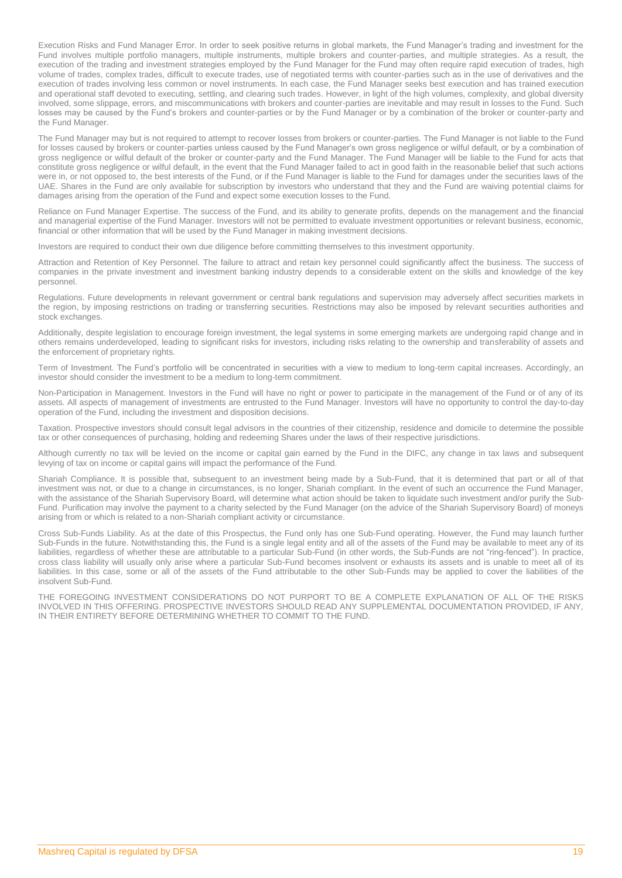Execution Risks and Fund Manager Error. In order to seek positive returns in global markets, the Fund Manager's trading and investment for the Fund involves multiple portfolio managers, multiple instruments, multiple brokers and counter-parties, and multiple strategies. As a result, the execution of the trading and investment strategies employed by the Fund Manager for the Fund may often require rapid execution of trades, high volume of trades, complex trades, difficult to execute trades, use of negotiated terms with counter-parties such as in the use of derivatives and the execution of trades involving less common or novel instruments. In each case, the Fund Manager seeks best execution and has trained execution and operational staff devoted to executing, settling, and clearing such trades. However, in light of the high volumes, complexity, and global diversity involved, some slippage, errors, and miscommunications with brokers and counter-parties are inevitable and may result in losses to the Fund. Such losses may be caused by the Fund's brokers and counter-parties or by the Fund Manager or by a combination of the broker or counter-party and the Fund Manager.

The Fund Manager may but is not required to attempt to recover losses from brokers or counter-parties. The Fund Manager is not liable to the Fund for losses caused by brokers or counter-parties unless caused by the Fund Manager's own gross negligence or wilful default, or by a combination of gross negligence or wilful default of the broker or counter-party and the Fund Manager. The Fund Manager will be liable to the Fund for acts that constitute gross negligence or wilful default, in the event that the Fund Manager failed to act in good faith in the reasonable belief that such actions were in, or not opposed to, the best interests of the Fund, or if the Fund Manager is liable to the Fund for damages under the securities laws of the UAE. Shares in the Fund are only available for subscription by investors who understand that they and the Fund are waiving potential claims for damages arising from the operation of the Fund and expect some execution losses to the Fund.

Reliance on Fund Manager Expertise. The success of the Fund, and its ability to generate profits, depends on the management and the financial and managerial expertise of the Fund Manager. Investors will not be permitted to evaluate investment opportunities or relevant business, economic, financial or other information that will be used by the Fund Manager in making investment decisions.

Investors are required to conduct their own due diligence before committing themselves to this investment opportunity.

Attraction and Retention of Key Personnel. The failure to attract and retain key personnel could significantly affect the business. The success of companies in the private investment and investment banking industry depends to a considerable extent on the skills and knowledge of the key personnel.

Regulations. Future developments in relevant government or central bank regulations and supervision may adversely affect securities markets in the region, by imposing restrictions on trading or transferring securities. Restrictions may also be imposed by relevant securities authorities and stock exchanges.

Additionally, despite legislation to encourage foreign investment, the legal systems in some emerging markets are undergoing rapid change and in others remains underdeveloped, leading to significant risks for investors, including risks relating to the ownership and transferability of assets and the enforcement of proprietary rights.

Term of Investment. The Fund's portfolio will be concentrated in securities with a view to medium to long-term capital increases. Accordingly, an investor should consider the investment to be a medium to long-term commitment.

Non-Participation in Management. Investors in the Fund will have no right or power to participate in the management of the Fund or of any of its assets. All aspects of management of investments are entrusted to the Fund Manager. Investors will have no opportunity to control the day-to-day operation of the Fund, including the investment and disposition decisions.

Taxation. Prospective investors should consult legal advisors in the countries of their citizenship, residence and domicile to determine the possible tax or other consequences of purchasing, holding and redeeming Shares under the laws of their respective jurisdictions.

Although currently no tax will be levied on the income or capital gain earned by the Fund in the DIFC, any change in tax laws and subsequent levying of tax on income or capital gains will impact the performance of the Fund.

Shariah Compliance. It is possible that, subsequent to an investment being made by a Sub-Fund, that it is determined that part or all of that investment was not, or due to a change in circumstances, is no longer, Shariah compliant. In the event of such an occurrence the Fund Manager, with the assistance of the Shariah Supervisory Board, will determine what action should be taken to liquidate such investment and/or purify the Sub-Fund. Purification may involve the payment to a charity selected by the Fund Manager (on the advice of the Shariah Supervisory Board) of moneys arising from or which is related to a non-Shariah compliant activity or circumstance.

Cross Sub-Funds Liability. As at the date of this Prospectus, the Fund only has one Sub-Fund operating. However, the Fund may launch further Sub-Funds in the future. Notwithstanding this, the Fund is a single legal entity and all of the assets of the Fund may be available to meet any of its liabilities, regardless of whether these are attributable to a particular Sub-Fund (in other words, the Sub-Funds are not "ring-fenced"). In practice, cross class liability will usually only arise where a particular Sub-Fund becomes insolvent or exhausts its assets and is unable to meet all of its liabilities. In this case, some or all of the assets of the Fund attributable to the other Sub-Funds may be applied to cover the liabilities of the insolvent Sub-Fund.

THE FOREGOING INVESTMENT CONSIDERATIONS DO NOT PURPORT TO BE A COMPLETE EXPLANATION OF ALL OF THE RISKS INVOLVED IN THIS OFFERING. PROSPECTIVE INVESTORS SHOULD READ ANY SUPPLEMENTAL DOCUMENTATION PROVIDED, IF ANY, IN THEIR ENTIRETY BEFORE DETERMINING WHETHER TO COMMIT TO THE FUND.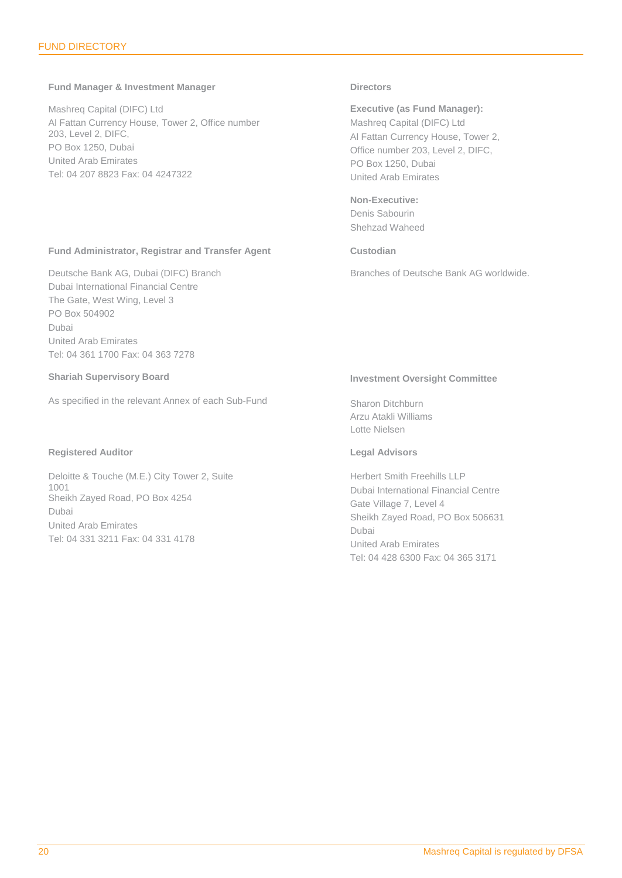## <span id="page-19-0"></span>**Fund Manager & Investment Manager**

Mashreq Capital (DIFC) Ltd Al Fattan Currency House, Tower 2, Office number 203, Level 2, DIFC, PO Box 1250, Dubai United Arab Emirates Tel: 04 207 8823 Fax: 04 4247322

## **Fund Administrator, Registrar and Transfer Agent**

Deutsche Bank AG, Dubai (DIFC) Branch Dubai International Financial Centre The Gate, West Wing, Level 3 PO Box 504902 Dubai United Arab Emirates Tel: 04 361 1700 Fax: 04 363 7278

## **Shariah Supervisory Board**

As specified in the relevant Annex of each Sub-Fund

## **Registered Auditor**

Deloitte & Touche (M.E.) City Tower 2, Suite 1001 Sheikh Zayed Road, PO Box 4254 Dubai United Arab Emirates Tel: 04 331 3211 Fax: 04 331 4178

## **Directors**

**Executive (as Fund Manager):** Mashreq Capital (DIFC) Ltd Al Fattan Currency House, Tower 2, Office number 203, Level 2, DIFC, PO Box 1250, Dubai United Arab Emirates

**Non-Executive:** Denis Sabourin Shehzad Waheed

## **Custodian**

Branches of Deutsche Bank AG worldwide.

## **Investment Oversight Committee**

Sharon Ditchburn Arzu Atakli Williams Lotte Nielsen

## **Legal Advisors**

Herbert Smith Freehills LLP Dubai International Financial Centre Gate Village 7, Level 4 Sheikh Zayed Road, PO Box 506631 Dubai United Arab Emirates Tel: 04 428 6300 Fax: 04 365 3171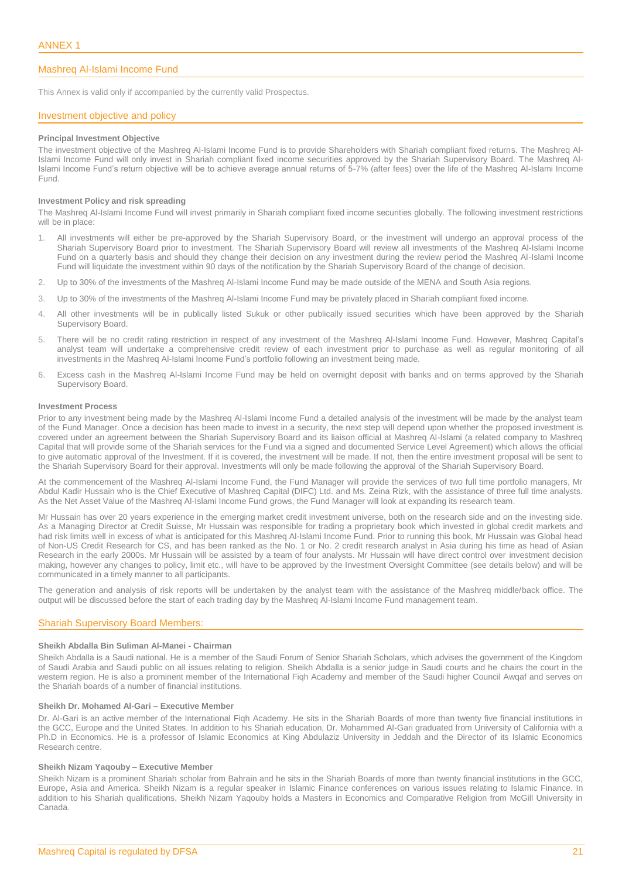## <span id="page-20-0"></span>Mashreq Al-Islami Income Fund

This Annex is valid only if accompanied by the currently valid Prospectus.

## Investment objective and policy

#### **Principal Investment Objective**

The investment objective of the Mashreq Al-Islami Income Fund is to provide Shareholders with Shariah compliant fixed returns. The Mashreq Al-Islami Income Fund will only invest in Shariah compliant fixed income securities approved by the Shariah Supervisory Board. The Mashreq Al-Islami Income Fund's return objective will be to achieve average annual returns of 5-7% (after fees) over the life of the Mashreq Al-Islami Income Fund.

## **Investment Policy and risk spreading**

The Mashreq Al-Islami Income Fund will invest primarily in Shariah compliant fixed income securities globally. The following investment restrictions will be in place:

- 1. All investments will either be pre-approved by the Shariah Supervisory Board, or the investment will undergo an approval process of the Shariah Supervisory Board prior to investment. The Shariah Supervisory Board will review all investments of the Mashreq Al-Islami Income Fund on a quarterly basis and should they change their decision on any investment during the review period the Mashreq Al-Islami Income Fund will liquidate the investment within 90 days of the notification by the Shariah Supervisory Board of the change of decision.
- 2. Up to 30% of the investments of the Mashreq Al-Islami Income Fund may be made outside of the MENA and South Asia regions.
- 3. Up to 30% of the investments of the Mashreq Al-Islami Income Fund may be privately placed in Shariah compliant fixed income.
- 4. All other investments will be in publically listed Sukuk or other publically issued securities which have been approved by the Shariah Supervisory Board.
- 5. There will be no credit rating restriction in respect of any investment of the Mashreq Al-Islami Income Fund. However, Mashreq Capital's analyst team will undertake a comprehensive credit review of each investment prior to purchase as well as regular monitoring of all investments in the Mashreq Al-Islami Income Fund's portfolio following an investment being made.
- 6. Excess cash in the Mashreq Al-Islami Income Fund may be held on overnight deposit with banks and on terms approved by the Shariah Supervisory Board.

## **Investment Process**

Prior to any investment being made by the Mashreq Al-Islami Income Fund a detailed analysis of the investment will be made by the analyst team of the Fund Manager. Once a decision has been made to invest in a security, the next step will depend upon whether the proposed investment is covered under an agreement between the Shariah Supervisory Board and its liaison official at Mashreq Al-Islami (a related company to Mashreq Capital that will provide some of the Shariah services for the Fund via a signed and documented Service Level Agreement) which allows the official to give automatic approval of the Investment. If it is covered, the investment will be made. If not, then the entire investment proposal will be sent to the Shariah Supervisory Board for their approval. Investments will only be made following the approval of the Shariah Supervisory Board.

At the commencement of the Mashreq Al-Islami Income Fund, the Fund Manager will provide the services of two full time portfolio managers, Mr Abdul Kadir Hussain who is the Chief Executive of Mashreq Capital (DIFC) Ltd. and Ms. Zeina Rizk, with the assistance of three full time analysts. As the Net Asset Value of the Mashreq Al-Islami Income Fund grows, the Fund Manager will look at expanding its research team.

Mr Hussain has over 20 years experience in the emerging market credit investment universe, both on the research side and on the investing side. As a Managing Director at Credit Suisse, Mr Hussain was responsible for trading a proprietary book which invested in global credit markets and had risk limits well in excess of what is anticipated for this Mashreq Al-Islami Income Fund. Prior to running this book, Mr Hussain was Global head of Non-US Credit Research for CS, and has been ranked as the No. 1 or No. 2 credit research analyst in Asia during his time as head of Asian Research in the early 2000s. Mr Hussain will be assisted by a team of four analysts. Mr Hussain will have direct control over investment decision making, however any changes to policy, limit etc., will have to be approved by the Investment Oversight Committee (see details below) and will be communicated in a timely manner to all participants.

The generation and analysis of risk reports will be undertaken by the analyst team with the assistance of the Mashreq middle/back office. The output will be discussed before the start of each trading day by the Mashreq Al-Islami Income Fund management team.

## Shariah Supervisory Board Members:

## **Sheikh Abdalla Bin Suliman Al-Manei - Chairman**

Sheikh Abdalla is a Saudi national. He is a member of the Saudi Forum of Senior Shariah Scholars, which advises the government of the Kingdom of Saudi Arabia and Saudi public on all issues relating to religion. Sheikh Abdalla is a senior judge in Saudi courts and he chairs the court in the western region. He is also a prominent member of the International Fiqh Academy and member of the Saudi higher Council Awqaf and serves on the Shariah boards of a number of financial institutions.

## **Sheikh Dr. Mohamed Al-Gari – Executive Member**

Dr. Al-Gari is an active member of the International Fiqh Academy. He sits in the Shariah Boards of more than twenty five financial institutions in the GCC, Europe and the United States. In addition to his Shariah education, Dr. Mohammed Al-Gari graduated from University of California with a Ph.D in Economics. He is a professor of Islamic Economics at King Abdulaziz University in Jeddah and the Director of its Islamic Economics Research centre.

## **Sheikh Nizam Yaqouby – Executive Member**

Sheikh Nizam is a prominent Shariah scholar from Bahrain and he sits in the Shariah Boards of more than twenty financial institutions in the GCC, Europe, Asia and America. Sheikh Nizam is a regular speaker in Islamic Finance conferences on various issues relating to Islamic Finance. In addition to his Shariah qualifications, Sheikh Nizam Yaqouby holds a Masters in Economics and Comparative Religion from McGill University in Canada.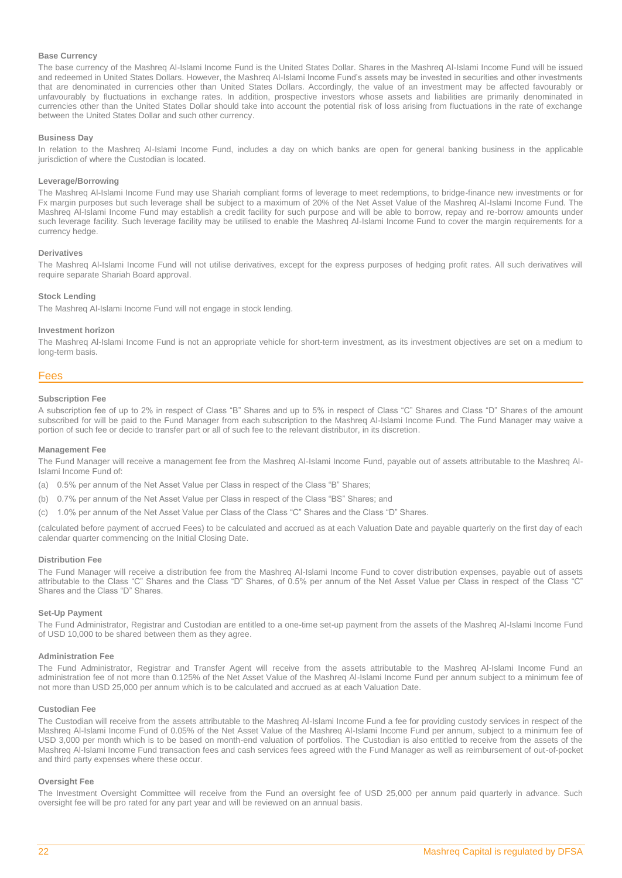## **Base Currency**

The base currency of the Mashreq Al-Islami Income Fund is the United States Dollar. Shares in the Mashreq Al-Islami Income Fund will be issued and redeemed in United States Dollars. However, the Mashreq Al-Islami Income Fund's assets may be invested in securities and other investments that are denominated in currencies other than United States Dollars. Accordingly, the value of an investment may be affected favourably or unfavourably by fluctuations in exchange rates. In addition, prospective investors whose assets and liabilities are primarily denominated in currencies other than the United States Dollar should take into account the potential risk of loss arising from fluctuations in the rate of exchange between the United States Dollar and such other currency.

## **Business Day**

In relation to the Mashreq Al-Islami Income Fund, includes a day on which banks are open for general banking business in the applicable jurisdiction of where the Custodian is located.

## **Leverage/Borrowing**

The Mashreq Al-Islami Income Fund may use Shariah compliant forms of leverage to meet redemptions, to bridge-finance new investments or for Fx margin purposes but such leverage shall be subject to a maximum of 20% of the Net Asset Value of the Mashreq Al-Islami Income Fund. The Mashreq Al-Islami Income Fund may establish a credit facility for such purpose and will be able to borrow, repay and re-borrow amounts under such leverage facility. Such leverage facility may be utilised to enable the Mashreq Al-Islami Income Fund to cover the margin requirements for a currency hedge.

## **Derivatives**

The Mashreq Al-Islami Income Fund will not utilise derivatives, except for the express purposes of hedging profit rates. All such derivatives will require separate Shariah Board approval.

## **Stock Lending**

The Mashreq Al-Islami Income Fund will not engage in stock lending.

#### **Investment horizon**

The Mashreq Al-Islami Income Fund is not an appropriate vehicle for short-term investment, as its investment objectives are set on a medium to long-term basis.

## Fees

#### **Subscription Fee**

A subscription fee of up to 2% in respect of Class "B" Shares and up to 5% in respect of Class "C" Shares and Class "D" Shares of the amount subscribed for will be paid to the Fund Manager from each subscription to the Mashreq Al-Islami Income Fund. The Fund Manager may waive a portion of such fee or decide to transfer part or all of such fee to the relevant distributor, in its discretion.

## **Management Fee**

The Fund Manager will receive a management fee from the Mashreq Al-Islami Income Fund, payable out of assets attributable to the Mashreq Al-Islami Income Fund of:

- (a) 0.5% per annum of the Net Asset Value per Class in respect of the Class "B" Shares;
- (b) 0.7% per annum of the Net Asset Value per Class in respect of the Class "BS" Shares; and
- (c) 1.0% per annum of the Net Asset Value per Class of the Class "C" Shares and the Class "D" Shares.

(calculated before payment of accrued Fees) to be calculated and accrued as at each Valuation Date and payable quarterly on the first day of each calendar quarter commencing on the Initial Closing Date.

## **Distribution Fee**

The Fund Manager will receive a distribution fee from the Mashreq Al-Islami Income Fund to cover distribution expenses, payable out of assets attributable to the Class "C" Shares and the Class "D" Shares, of 0.5% per annum of the Net Asset Value per Class in respect of the Class "C" Shares and the Class "D" Shares.

## **Set-Up Payment**

The Fund Administrator, Registrar and Custodian are entitled to a one-time set-up payment from the assets of the Mashreq Al-Islami Income Fund of USD 10,000 to be shared between them as they agree.

## **Administration Fee**

The Fund Administrator, Registrar and Transfer Agent will receive from the assets attributable to the Mashreq Al-Islami Income Fund an administration fee of not more than 0.125% of the Net Asset Value of the Mashreq Al-Islami Income Fund per annum subject to a minimum fee of not more than USD 25,000 per annum which is to be calculated and accrued as at each Valuation Date.

## **Custodian Fee**

The Custodian will receive from the assets attributable to the Mashreq Al-Islami Income Fund a fee for providing custody services in respect of the Mashreq Al-Islami Income Fund of 0.05% of the Net Asset Value of the Mashreq Al-Islami Income Fund per annum, subject to a minimum fee of USD 3,000 per month which is to be based on month-end valuation of portfolios. The Custodian is also entitled to receive from the assets of the Mashreq Al-Islami Income Fund transaction fees and cash services fees agreed with the Fund Manager as well as reimbursement of out-of-pocket and third party expenses where these occur.

## **Oversight Fee**

The Investment Oversight Committee will receive from the Fund an oversight fee of USD 25,000 per annum paid quarterly in advance. Such oversight fee will be pro rated for any part year and will be reviewed on an annual basis.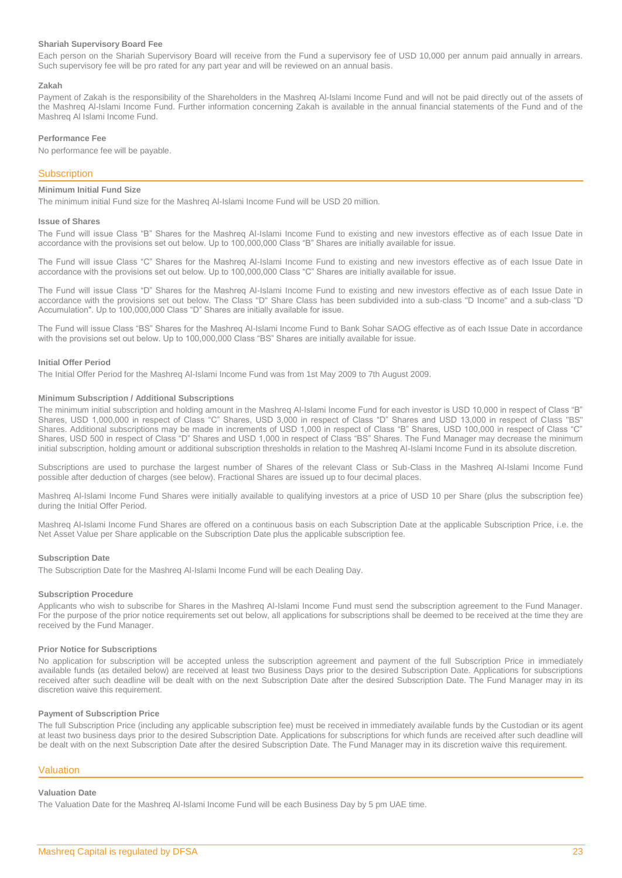## **Shariah Supervisory Board Fee**

Each person on the Shariah Supervisory Board will receive from the Fund a supervisory fee of USD 10,000 per annum paid annually in arrears. Such supervisory fee will be pro rated for any part year and will be reviewed on an annual basis.

## **Zakah**

Payment of Zakah is the responsibility of the Shareholders in the Mashreq Al-Islami Income Fund and will not be paid directly out of the assets of the Mashreq Al-Islami Income Fund. Further information concerning Zakah is available in the annual financial statements of the Fund and of the Mashreq Al Islami Income Fund.

## **Performance Fee**

No performance fee will be payable.

## **Subscription**

## **Minimum Initial Fund Size**

The minimum initial Fund size for the Mashreq Al-Islami Income Fund will be USD 20 million.

#### **Issue of Shares**

The Fund will issue Class "B" Shares for the Mashreq Al-Islami Income Fund to existing and new investors effective as of each Issue Date in accordance with the provisions set out below. Up to 100,000,000 Class "B" Shares are initially available for issue.

The Fund will issue Class "C" Shares for the Mashreq Al-Islami Income Fund to existing and new investors effective as of each Issue Date in accordance with the provisions set out below. Up to 100,000,000 Class "C" Shares are initially available for issue.

The Fund will issue Class "D" Shares for the Mashreq Al-Islami Income Fund to existing and new investors effective as of each Issue Date in accordance with the provisions set out below. The Class "D" Share Class has been subdivided into a sub-class "D Income" and a sub-class "D Accumulation". Up to 100,000,000 Class "D" Shares are initially available for issue.

The Fund will issue Class "BS" Shares for the Mashreq Al-Islami Income Fund to Bank Sohar SAOG effective as of each Issue Date in accordance with the provisions set out below. Up to 100,000,000 Class "BS" Shares are initially available for issue.

#### **Initial Offer Period**

The Initial Offer Period for the Mashreq Al-Islami Income Fund was from 1st May 2009 to 7th August 2009.

## **Minimum Subscription / Additional Subscriptions**

The minimum initial subscription and holding amount in the Mashreq Al-Islami Income Fund for each investor is USD 10,000 in respect of Class "B" Shares, USD 1,000,000 in respect of Class "C" Shares, USD 3,000 in respect of Class "D" Shares and USD 13,000 in respect of Class "BS" Shares. Additional subscriptions may be made in increments of USD 1,000 in respect of Class "B" Shares, USD 100,000 in respect of Class "C" Shares, USD 500 in respect of Class "D" Shares and USD 1,000 in respect of Class "BS" Shares. The Fund Manager may decrease the minimum initial subscription, holding amount or additional subscription thresholds in relation to the Mashreq Al-Islami Income Fund in its absolute discretion.

Subscriptions are used to purchase the largest number of Shares of the relevant Class or Sub-Class in the Mashreq Al-Islami Income Fund possible after deduction of charges (see below). Fractional Shares are issued up to four decimal places.

Mashreq Al-Islami Income Fund Shares were initially available to qualifying investors at a price of USD 10 per Share (plus the subscription fee) during the Initial Offer Period.

Mashreq Al-Islami Income Fund Shares are offered on a continuous basis on each Subscription Date at the applicable Subscription Price, i.e. the Net Asset Value per Share applicable on the Subscription Date plus the applicable subscription fee.

#### **Subscription Date**

The Subscription Date for the Mashreq Al-Islami Income Fund will be each Dealing Day.

#### **Subscription Procedure**

Applicants who wish to subscribe for Shares in the Mashreq Al-Islami Income Fund must send the subscription agreement to the Fund Manager. For the purpose of the prior notice requirements set out below, all applications for subscriptions shall be deemed to be received at the time they are received by the Fund Manager.

## **Prior Notice for Subscriptions**

No application for subscription will be accepted unless the subscription agreement and payment of the full Subscription Price in immediately available funds (as detailed below) are received at least two Business Days prior to the desired Subscription Date. Applications for subscriptions received after such deadline will be dealt with on the next Subscription Date after the desired Subscription Date. The Fund Manager may in its discretion waive this requirement.

#### **Payment of Subscription Price**

The full Subscription Price (including any applicable subscription fee) must be received in immediately available funds by the Custodian or its agent at least two business days prior to the desired Subscription Date. Applications for subscriptions for which funds are received after such deadline will be dealt with on the next Subscription Date after the desired Subscription Date. The Fund Manager may in its discretion waive this requirement.

## Valuation

## **Valuation Date**

The Valuation Date for the Mashreq Al-Islami Income Fund will be each Business Day by 5 pm UAE time.